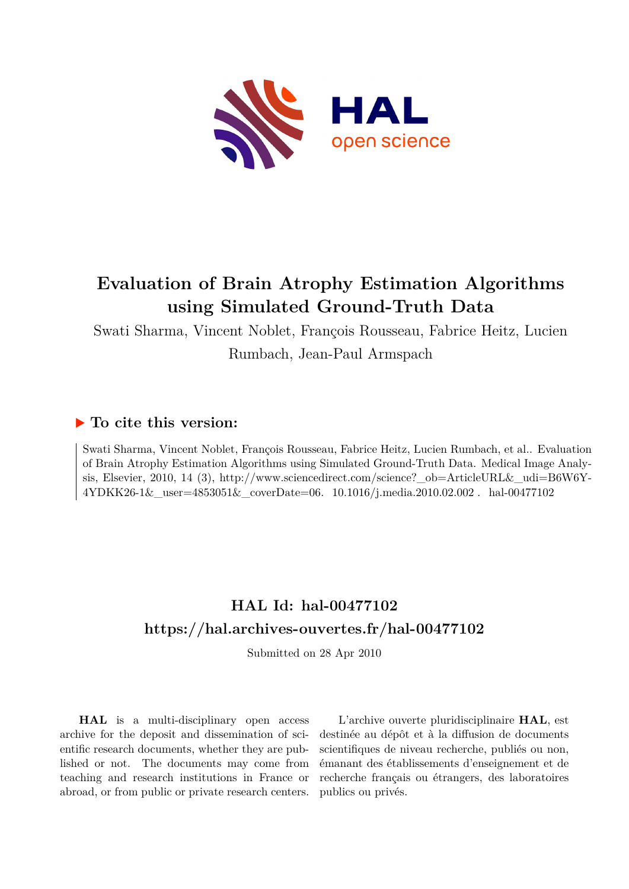

# **Evaluation of Brain Atrophy Estimation Algorithms using Simulated Ground-Truth Data**

Swati Sharma, Vincent Noblet, François Rousseau, Fabrice Heitz, Lucien Rumbach, Jean-Paul Armspach

# **To cite this version:**

Swati Sharma, Vincent Noblet, François Rousseau, Fabrice Heitz, Lucien Rumbach, et al.. Evaluation of Brain Atrophy Estimation Algorithms using Simulated Ground-Truth Data. Medical Image Analysis, Elsevier, 2010, 14 (3), http://www.sciencedirect.com/science?\_ob=ArticleURL&\_udi=B6W6Y- $4YDKK26-1\&$ \_user= $4853051\&$ \_coverDate=06. 10.1016/j.media.2010.02.002. hal-00477102

# **HAL Id: hal-00477102 <https://hal.archives-ouvertes.fr/hal-00477102>**

Submitted on 28 Apr 2010

**HAL** is a multi-disciplinary open access archive for the deposit and dissemination of scientific research documents, whether they are published or not. The documents may come from teaching and research institutions in France or abroad, or from public or private research centers.

L'archive ouverte pluridisciplinaire **HAL**, est destinée au dépôt et à la diffusion de documents scientifiques de niveau recherche, publiés ou non, émanant des établissements d'enseignement et de recherche français ou étrangers, des laboratoires publics ou privés.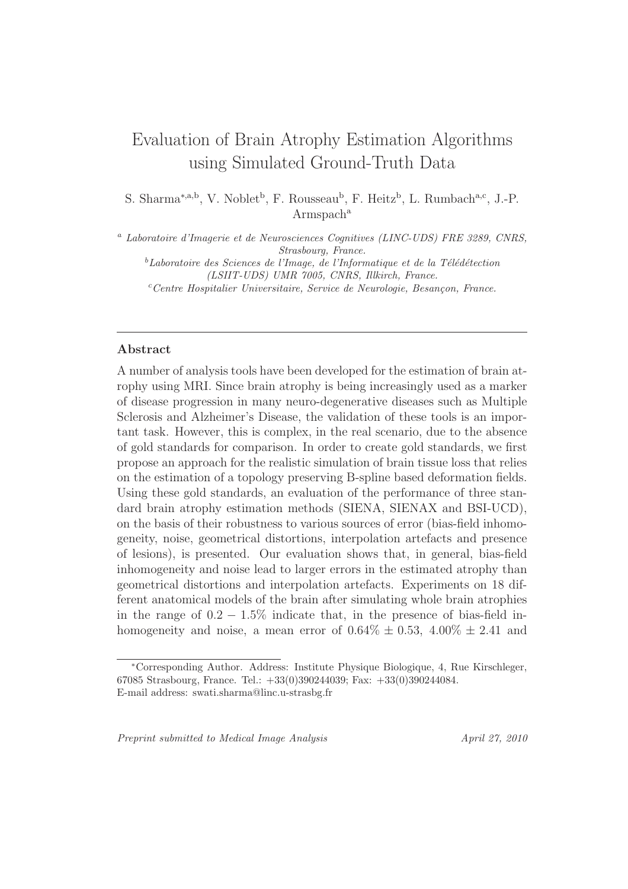# Evaluation of Brain Atrophy Estimation Algorithms using Simulated Ground-Truth Data

S. Sharma<sup>\*,a,b</sup>, V. Noblet<sup>b</sup>, F. Rousseau<sup>b</sup>, F. Heitz<sup>b</sup>, L. Rumbach<sup>a,c</sup>, J.-P.  $Armspach<sup>a</sup>$ 

<sup>a</sup> Laboratoire d'Imagerie et de Neurosciences Cognitives (LINC-UDS) FRE 3289, CNRS, Strasbourg, France.

 ${}^b$ Laboratoire des Sciences de l'Image, de l'Informatique et de la Télédétection (LSIIT-UDS) UMR 7005, CNRS, Illkirch, France.

 $c$ Centre Hospitalier Universitaire, Service de Neurologie, Besançon, France.

# Abstract

A number of analysis tools have been developed for the estimation of brain atrophy using MRI. Since brain atrophy is being increasingly used as a marker of disease progression in many neuro-degenerative diseases such as Multiple Sclerosis and Alzheimer's Disease, the validation of these tools is an important task. However, this is complex, in the real scenario, due to the absence of gold standards for comparison. In order to create gold standards, we first propose an approach for the realistic simulation of brain tissue loss that relies on the estimation of a topology preserving B-spline based deformation fields. Using these gold standards, an evaluation of the performance of three standard brain atrophy estimation methods (SIENA, SIENAX and BSI-UCD), on the basis of their robustness to various sources of error (bias-field inhomogeneity, noise, geometrical distortions, interpolation artefacts and presence of lesions), is presented. Our evaluation shows that, in general, bias-field inhomogeneity and noise lead to larger errors in the estimated atrophy than geometrical distortions and interpolation artefacts. Experiments on 18 different anatomical models of the brain after simulating whole brain atrophies in the range of  $0.2 - 1.5\%$  indicate that, in the presence of bias-field inhomogeneity and noise, a mean error of  $0.64\% \pm 0.53$ ,  $4.00\% \pm 2.41$  and

Preprint submitted to Medical Image Analysis April 27, 2010

<sup>∗</sup>Corresponding Author. Address: Institute Physique Biologique, 4, Rue Kirschleger, 67085 Strasbourg, France. Tel.: +33(0)390244039; Fax: +33(0)390244084. E-mail address: swati.sharma@linc.u-strasbg.fr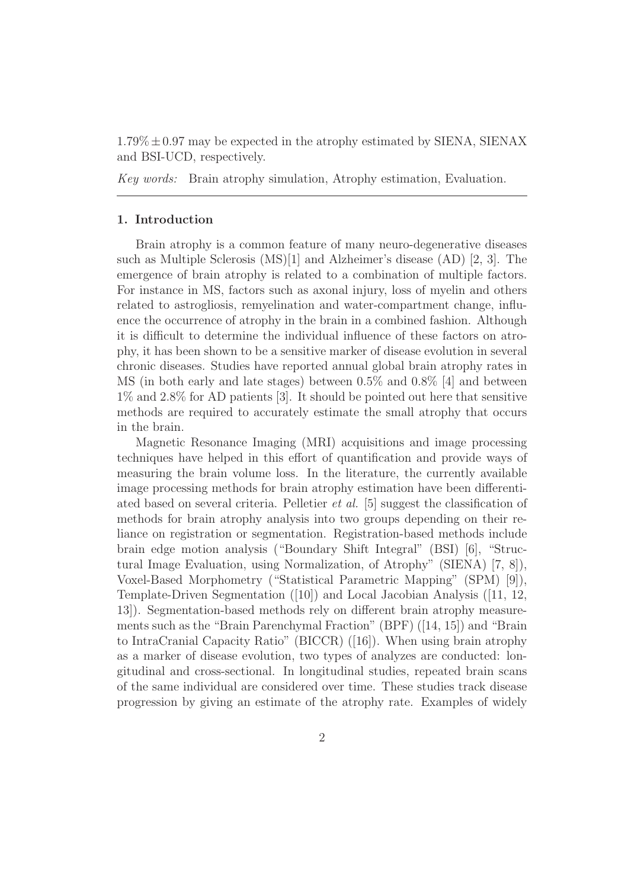$1.79\% \pm 0.97$  may be expected in the atrophy estimated by SIENA, SIENAX and BSI-UCD, respectively.

Key words: Brain atrophy simulation, Atrophy estimation, Evaluation.

# 1. Introduction

Brain atrophy is a common feature of many neuro-degenerative diseases such as Multiple Sclerosis (MS)[1] and Alzheimer's disease (AD) [2, 3]. The emergence of brain atrophy is related to a combination of multiple factors. For instance in MS, factors such as axonal injury, loss of myelin and others related to astrogliosis, remyelination and water-compartment change, influence the occurrence of atrophy in the brain in a combined fashion. Although it is difficult to determine the individual influence of these factors on atrophy, it has been shown to be a sensitive marker of disease evolution in several chronic diseases. Studies have reported annual global brain atrophy rates in MS (in both early and late stages) between 0.5% and 0.8% [4] and between 1% and 2.8% for AD patients [3]. It should be pointed out here that sensitive methods are required to accurately estimate the small atrophy that occurs in the brain.

Magnetic Resonance Imaging (MRI) acquisitions and image processing techniques have helped in this effort of quantification and provide ways of measuring the brain volume loss. In the literature, the currently available image processing methods for brain atrophy estimation have been differentiated based on several criteria. Pelletier et al. [5] suggest the classification of methods for brain atrophy analysis into two groups depending on their reliance on registration or segmentation. Registration-based methods include brain edge motion analysis ("Boundary Shift Integral" (BSI) [6], "Structural Image Evaluation, using Normalization, of Atrophy" (SIENA) [7, 8]), Voxel-Based Morphometry ("Statistical Parametric Mapping" (SPM) [9]), Template-Driven Segmentation ([10]) and Local Jacobian Analysis ([11, 12, 13]). Segmentation-based methods rely on different brain atrophy measurements such as the "Brain Parenchymal Fraction" (BPF) ([14, 15]) and "Brain to IntraCranial Capacity Ratio" (BICCR) ([16]). When using brain atrophy as a marker of disease evolution, two types of analyzes are conducted: longitudinal and cross-sectional. In longitudinal studies, repeated brain scans of the same individual are considered over time. These studies track disease progression by giving an estimate of the atrophy rate. Examples of widely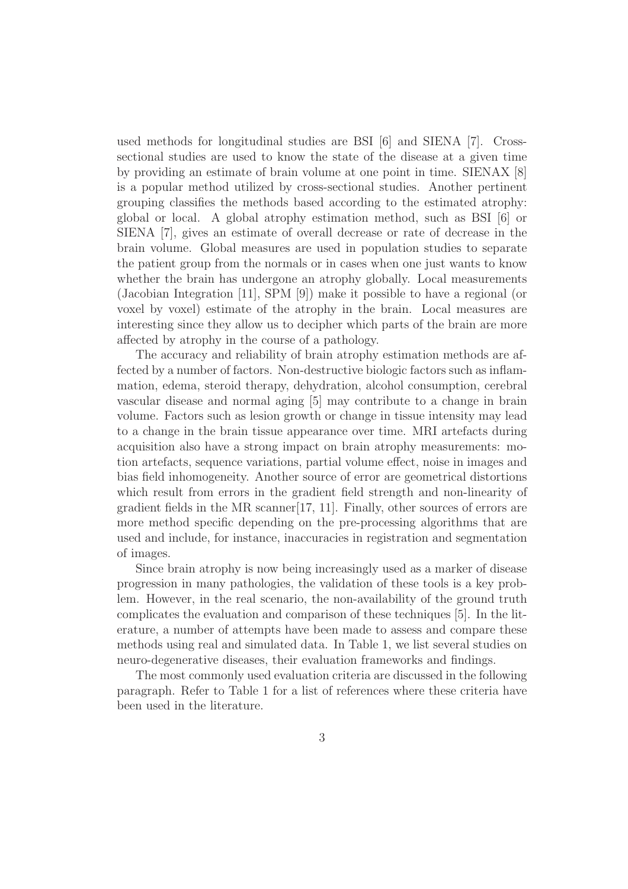used methods for longitudinal studies are BSI [6] and SIENA [7]. Crosssectional studies are used to know the state of the disease at a given time by providing an estimate of brain volume at one point in time. SIENAX [8] is a popular method utilized by cross-sectional studies. Another pertinent grouping classifies the methods based according to the estimated atrophy: global or local. A global atrophy estimation method, such as BSI [6] or SIENA [7], gives an estimate of overall decrease or rate of decrease in the brain volume. Global measures are used in population studies to separate the patient group from the normals or in cases when one just wants to know whether the brain has undergone an atrophy globally. Local measurements (Jacobian Integration [11], SPM [9]) make it possible to have a regional (or voxel by voxel) estimate of the atrophy in the brain. Local measures are interesting since they allow us to decipher which parts of the brain are more affected by atrophy in the course of a pathology.

The accuracy and reliability of brain atrophy estimation methods are affected by a number of factors. Non-destructive biologic factors such as inflammation, edema, steroid therapy, dehydration, alcohol consumption, cerebral vascular disease and normal aging [5] may contribute to a change in brain volume. Factors such as lesion growth or change in tissue intensity may lead to a change in the brain tissue appearance over time. MRI artefacts during acquisition also have a strong impact on brain atrophy measurements: motion artefacts, sequence variations, partial volume effect, noise in images and bias field inhomogeneity. Another source of error are geometrical distortions which result from errors in the gradient field strength and non-linearity of gradient fields in the MR scanner[17, 11]. Finally, other sources of errors are more method specific depending on the pre-processing algorithms that are used and include, for instance, inaccuracies in registration and segmentation of images.

Since brain atrophy is now being increasingly used as a marker of disease progression in many pathologies, the validation of these tools is a key problem. However, in the real scenario, the non-availability of the ground truth complicates the evaluation and comparison of these techniques [5]. In the literature, a number of attempts have been made to assess and compare these methods using real and simulated data. In Table 1, we list several studies on neuro-degenerative diseases, their evaluation frameworks and findings.

The most commonly used evaluation criteria are discussed in the following paragraph. Refer to Table 1 for a list of references where these criteria have been used in the literature.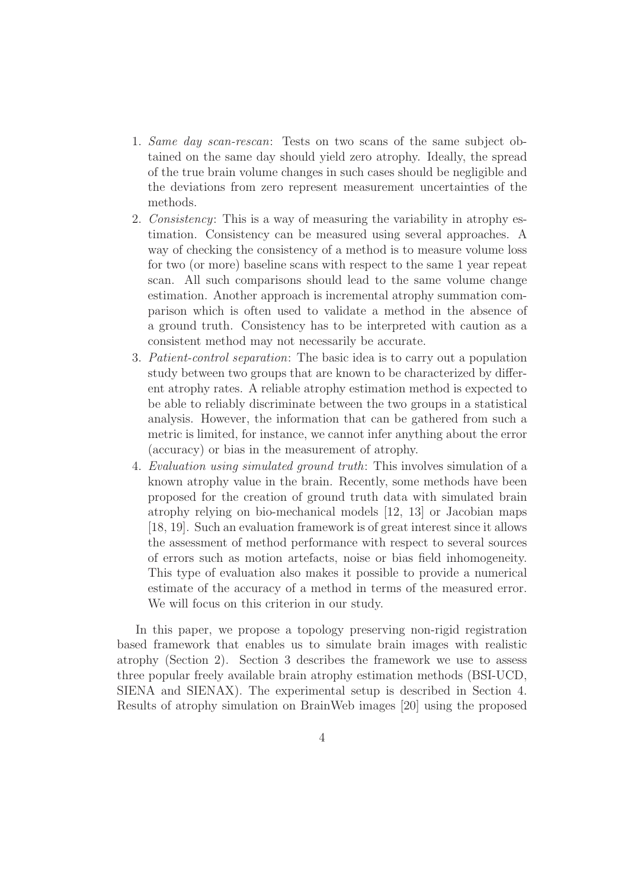- 1. Same day scan-rescan: Tests on two scans of the same subject obtained on the same day should yield zero atrophy. Ideally, the spread of the true brain volume changes in such cases should be negligible and the deviations from zero represent measurement uncertainties of the methods.
- 2. Consistency: This is a way of measuring the variability in atrophy estimation. Consistency can be measured using several approaches. A way of checking the consistency of a method is to measure volume loss for two (or more) baseline scans with respect to the same 1 year repeat scan. All such comparisons should lead to the same volume change estimation. Another approach is incremental atrophy summation comparison which is often used to validate a method in the absence of a ground truth. Consistency has to be interpreted with caution as a consistent method may not necessarily be accurate.
- 3. Patient-control separation: The basic idea is to carry out a population study between two groups that are known to be characterized by different atrophy rates. A reliable atrophy estimation method is expected to be able to reliably discriminate between the two groups in a statistical analysis. However, the information that can be gathered from such a metric is limited, for instance, we cannot infer anything about the error (accuracy) or bias in the measurement of atrophy.
- 4. Evaluation using simulated ground truth: This involves simulation of a known atrophy value in the brain. Recently, some methods have been proposed for the creation of ground truth data with simulated brain atrophy relying on bio-mechanical models [12, 13] or Jacobian maps [18, 19]. Such an evaluation framework is of great interest since it allows the assessment of method performance with respect to several sources of errors such as motion artefacts, noise or bias field inhomogeneity. This type of evaluation also makes it possible to provide a numerical estimate of the accuracy of a method in terms of the measured error. We will focus on this criterion in our study.

In this paper, we propose a topology preserving non-rigid registration based framework that enables us to simulate brain images with realistic atrophy (Section 2). Section 3 describes the framework we use to assess three popular freely available brain atrophy estimation methods (BSI-UCD, SIENA and SIENAX). The experimental setup is described in Section 4. Results of atrophy simulation on BrainWeb images [20] using the proposed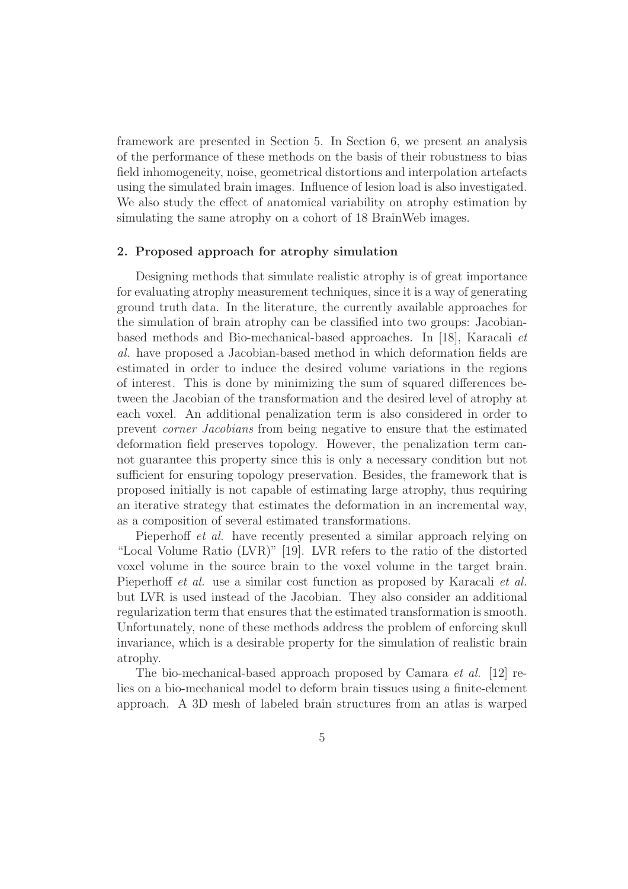framework are presented in Section 5. In Section 6, we present an analysis of the performance of these methods on the basis of their robustness to bias field inhomogeneity, noise, geometrical distortions and interpolation artefacts using the simulated brain images. Influence of lesion load is also investigated. We also study the effect of anatomical variability on atrophy estimation by simulating the same atrophy on a cohort of 18 BrainWeb images.

# 2. Proposed approach for atrophy simulation

Designing methods that simulate realistic atrophy is of great importance for evaluating atrophy measurement techniques, since it is a way of generating ground truth data. In the literature, the currently available approaches for the simulation of brain atrophy can be classified into two groups: Jacobianbased methods and Bio-mechanical-based approaches. In [18], Karacali et al. have proposed a Jacobian-based method in which deformation fields are estimated in order to induce the desired volume variations in the regions of interest. This is done by minimizing the sum of squared differences between the Jacobian of the transformation and the desired level of atrophy at each voxel. An additional penalization term is also considered in order to prevent corner Jacobians from being negative to ensure that the estimated deformation field preserves topology. However, the penalization term cannot guarantee this property since this is only a necessary condition but not sufficient for ensuring topology preservation. Besides, the framework that is proposed initially is not capable of estimating large atrophy, thus requiring an iterative strategy that estimates the deformation in an incremental way, as a composition of several estimated transformations.

Pieperhoff et al. have recently presented a similar approach relying on "Local Volume Ratio (LVR)" [19]. LVR refers to the ratio of the distorted voxel volume in the source brain to the voxel volume in the target brain. Pieperhoff *et al.* use a similar cost function as proposed by Karacali *et al.* but LVR is used instead of the Jacobian. They also consider an additional regularization term that ensures that the estimated transformation is smooth. Unfortunately, none of these methods address the problem of enforcing skull invariance, which is a desirable property for the simulation of realistic brain atrophy.

The bio-mechanical-based approach proposed by Camara et al. [12] relies on a bio-mechanical model to deform brain tissues using a finite-element approach. A 3D mesh of labeled brain structures from an atlas is warped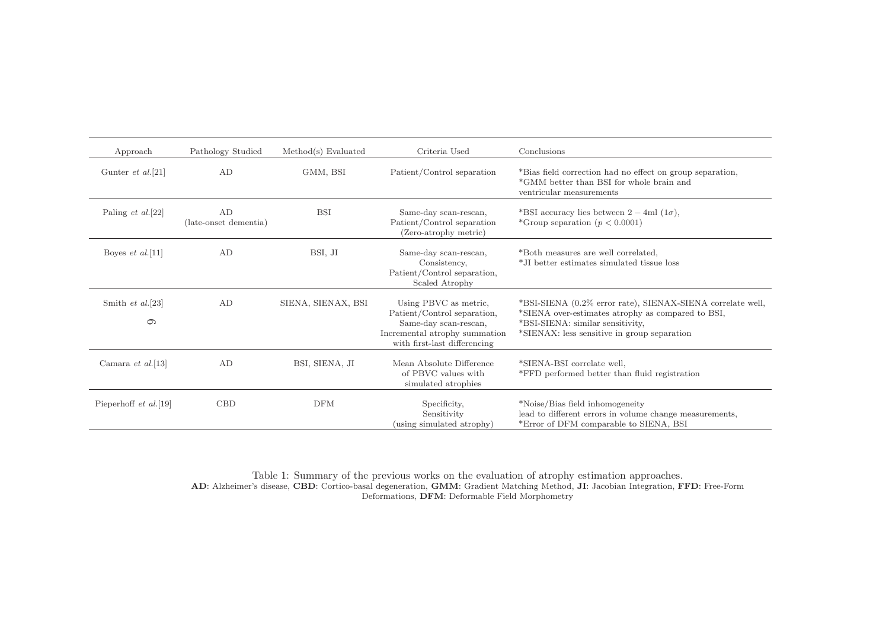| Approach                  | Pathology Studied           | Method(s) Evaluate | Criteria Used                                                                          | Conclusions                                                                                                                          |
|---------------------------|-----------------------------|--------------------|----------------------------------------------------------------------------------------|--------------------------------------------------------------------------------------------------------------------------------------|
| Gunter <i>et al.</i> [21] | AD                          | GMM, BSI           | Patient/Control separation                                                             | *Bias field correction had no effect on group separation,<br>*GMM better than BSI for whole brain and<br>ventricular measurements    |
| Paling $et$ al. [22]      | AD<br>(late-onset dementia) | <b>BSI</b>         | Same-day scan-rescan,<br>Patient/Control separation<br>(Zero-atrophy metric)           | *BSI accuracy lies between $2-4ml$ (1 $\sigma$ ),<br>*Group separation $(p < 0.0001)$                                                |
| Boyes <i>et al.</i> [11]  | AD                          | BSI, JI            | Same-day scan-rescan,<br>Consistency,<br>Patient/Control separation,<br>Scaled Atrophy | *Both measures are well correlated,<br>*JI better estimates simulated tissue loss                                                    |
| Smith et al.[23]          | AD                          | SIENA, SIENAX, BSI | Using PBVC as metric,<br>Patient/Control separation,                                   | *BSI-SIENA (0.2% error rate), SIENAX-SIENA correlate well,<br>*SIENA over-estimates atrophy as compared to BSI,                      |
| $\circ$                   |                             |                    | Same-day scan-rescan,<br>Incremental atrophy summation<br>with first-last differencing | *BSI-SIENA: similar sensitivity,<br>*SIENAX: less sensitive in group separation                                                      |
| Camara et al. [13]        | AD                          | BSI, SIENA, JI     | Mean Absolute Difference<br>of PBVC values with<br>simulated atrophies                 | *SIENA-BSI correlate well,<br>*FFD performed better than fluid registration                                                          |
| Pieperhoff $et \ al.[19]$ | <b>CBD</b>                  | <b>DFM</b>         | Specificity,<br>Sensitivity<br>(using simulated atrophy)                               | *Noise/Bias field inhomogeneity<br>lead to different errors in volume change measurements,<br>*Error of DFM comparable to SIENA, BSI |

Table 1: Summary of the previous works on the evaluation of atrophy estimation approaches. AD: Alzheimer's disease, CBD: Cortico-basal degeneration, GMM: Gradient Matching Method, JI: Jacobian Integration, FFD: Free-FormDeformations, DFM: Deformable Field Morphometry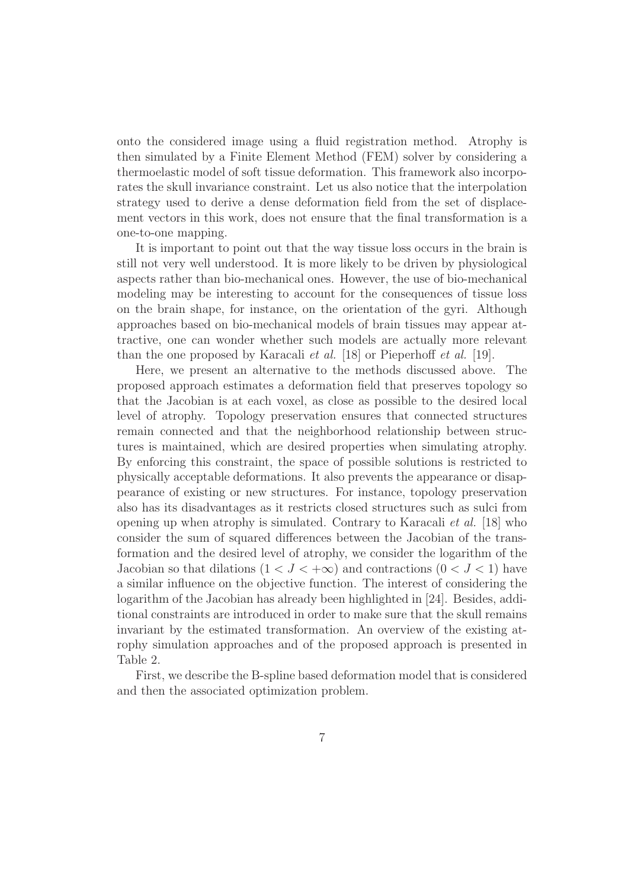onto the considered image using a fluid registration method. Atrophy is then simulated by a Finite Element Method (FEM) solver by considering a thermoelastic model of soft tissue deformation. This framework also incorporates the skull invariance constraint. Let us also notice that the interpolation strategy used to derive a dense deformation field from the set of displacement vectors in this work, does not ensure that the final transformation is a one-to-one mapping.

It is important to point out that the way tissue loss occurs in the brain is still not very well understood. It is more likely to be driven by physiological aspects rather than bio-mechanical ones. However, the use of bio-mechanical modeling may be interesting to account for the consequences of tissue loss on the brain shape, for instance, on the orientation of the gyri. Although approaches based on bio-mechanical models of brain tissues may appear attractive, one can wonder whether such models are actually more relevant than the one proposed by Karacali et al. [18] or Pieperhoff et al. [19].

Here, we present an alternative to the methods discussed above. The proposed approach estimates a deformation field that preserves topology so that the Jacobian is at each voxel, as close as possible to the desired local level of atrophy. Topology preservation ensures that connected structures remain connected and that the neighborhood relationship between structures is maintained, which are desired properties when simulating atrophy. By enforcing this constraint, the space of possible solutions is restricted to physically acceptable deformations. It also prevents the appearance or disappearance of existing or new structures. For instance, topology preservation also has its disadvantages as it restricts closed structures such as sulci from opening up when atrophy is simulated. Contrary to Karacali et al. [18] who consider the sum of squared differences between the Jacobian of the transformation and the desired level of atrophy, we consider the logarithm of the Jacobian so that dilations  $(1 < J < +\infty)$  and contractions  $(0 < J < 1)$  have a similar influence on the objective function. The interest of considering the logarithm of the Jacobian has already been highlighted in [24]. Besides, additional constraints are introduced in order to make sure that the skull remains invariant by the estimated transformation. An overview of the existing atrophy simulation approaches and of the proposed approach is presented in Table 2.

First, we describe the B-spline based deformation model that is considered and then the associated optimization problem.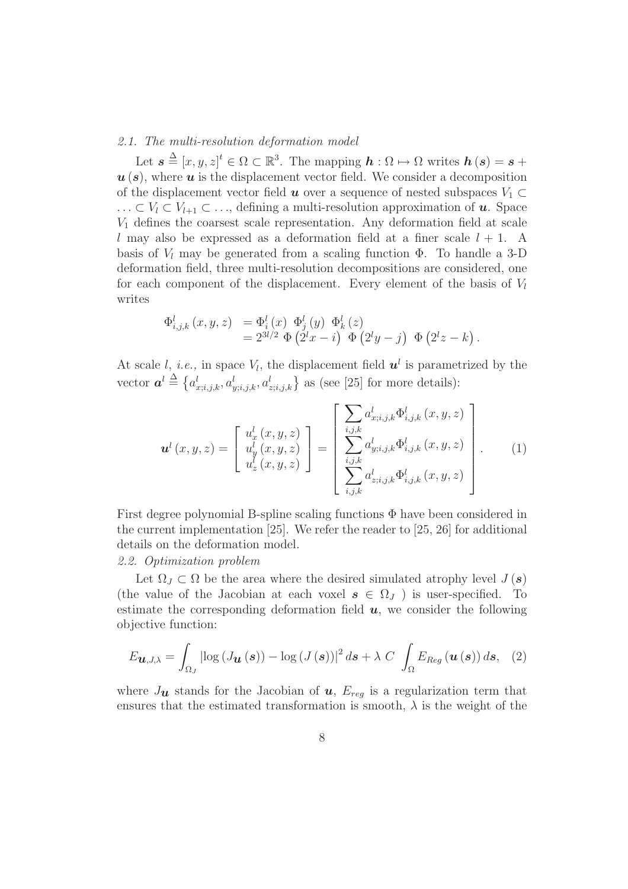# 2.1. The multi-resolution deformation model

Let  $\mathbf{s} \triangleq [x, y, z]^t \in \Omega \subset \mathbb{R}^3$ . The mapping  $\mathbf{h} : \Omega \mapsto \Omega$  writes  $\mathbf{h}(\mathbf{s}) = \mathbf{s} + \mathbf{h}(\mathbf{s})$  $u(s)$ , where  $u$  is the displacement vector field. We consider a decomposition of the displacement vector field  $u$  over a sequence of nested subspaces  $V_1 \subset$ ... ⊂  $V_l$  ⊂  $V_{l+1}$  ⊂ ..., defining a multi-resolution approximation of **u**. Space  $V_1$  defines the coarsest scale representation. Any deformation field at scale l may also be expressed as a deformation field at a finer scale  $l + 1$ . A basis of  $V_l$  may be generated from a scaling function  $\Phi$ . To handle a 3-D deformation field, three multi-resolution decompositions are considered, one for each component of the displacement. Every element of the basis of  $V_l$ writes

$$
\Phi_{i,j,k}^{l}(x, y, z) = \Phi_{i}^{l}(x) \Phi_{j}^{l}(y) \Phi_{k}^{l}(z)
$$
  
=  $2^{3l/2} \Phi (2^{l}x - i) \Phi (2^{l}y - j) \Phi (2^{l}z - k).$ 

At scale l, i.e., in space  $V_l$ , the displacement field  $u^l$  is parametrized by the vector  $\mathbf{a}^l \triangleq \{a^l_{x;i,j,k}, a^l_{y;i,j,k}, a^l_{z;i,j,k}\}\$ as (see [25] for more details):

$$
\mathbf{u}^{l}(x, y, z) = \begin{bmatrix} u_{x}^{l}(x, y, z) \\ u_{y}^{l}(x, y, z) \\ u_{z}^{l}(x, y, z) \end{bmatrix} = \begin{bmatrix} \sum_{i,j,k} a_{x;i,j,k}^{l} \Phi_{i,j,k}^{l}(x, y, z) \\ \sum_{i,j,k} a_{y;i,j,k}^{l} \Phi_{i,j,k}^{l}(x, y, z) \\ \sum_{i,j,k} a_{z;i,j,k}^{l} \Phi_{i,j,k}^{l}(x, y, z) \end{bmatrix} .
$$
 (1)

First degree polynomial B-spline scaling functions Φ have been considered in the current implementation [25]. We refer the reader to [25, 26] for additional details on the deformation model.

# 2.2. Optimization problem

Let  $\Omega_J \subset \Omega$  be the area where the desired simulated atrophy level  $J(\mathbf{s})$ (the value of the Jacobian at each voxel  $s \in \Omega_J$ ) is user-specified. To estimate the corresponding deformation field  $u$ , we consider the following objective function:

$$
E_{\boldsymbol{u},J,\lambda} = \int_{\Omega_J} \left| \log \left( J_{\boldsymbol{u}}\left(\boldsymbol{s}\right) \right) - \log \left( J\left(\boldsymbol{s}\right) \right) \right|^2 d\boldsymbol{s} + \lambda \ C \ \int_{\Omega} E_{Reg}\left(\boldsymbol{u}\left(\boldsymbol{s}\right) \right) d\boldsymbol{s}, \tag{2}
$$

where  $J_{\boldsymbol{u}}$  stands for the Jacobian of  $\boldsymbol{u}$ ,  $E_{req}$  is a regularization term that ensures that the estimated transformation is smooth,  $\lambda$  is the weight of the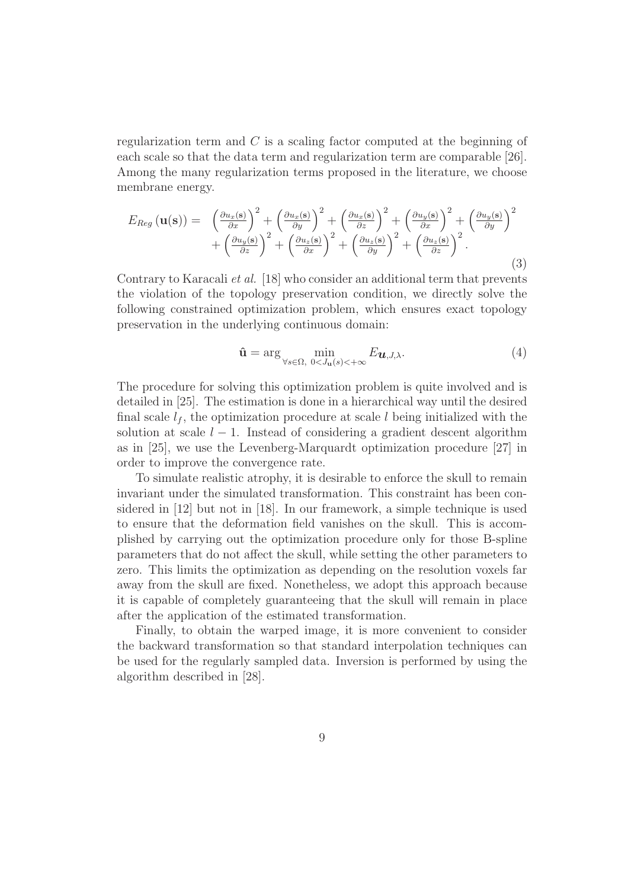regularization term and C is a scaling factor computed at the beginning of each scale so that the data term and regularization term are comparable [26]. Among the many regularization terms proposed in the literature, we choose membrane energy.

$$
E_{Reg}(\mathbf{u}(\mathbf{s})) = \left(\frac{\partial u_x(\mathbf{s})}{\partial x}\right)^2 + \left(\frac{\partial u_x(\mathbf{s})}{\partial y}\right)^2 + \left(\frac{\partial u_x(\mathbf{s})}{\partial z}\right)^2 + \left(\frac{\partial u_y(\mathbf{s})}{\partial x}\right)^2 + \left(\frac{\partial u_y(\mathbf{s})}{\partial y}\right)^2 + \left(\frac{\partial u_y(\mathbf{s})}{\partial z}\right)^2 + \left(\frac{\partial u_z(\mathbf{s})}{\partial y}\right)^2 + \left(\frac{\partial u_z(\mathbf{s})}{\partial y}\right)^2 + \left(\frac{\partial u_z(\mathbf{s})}{\partial z}\right)^2.
$$
\n(3)

Contrary to Karacali et al. [18] who consider an additional term that prevents the violation of the topology preservation condition, we directly solve the following constrained optimization problem, which ensures exact topology preservation in the underlying continuous domain:

$$
\hat{\mathbf{u}} = \arg\min_{\forall s \in \Omega, \ 0 < J_{\mathbf{u}}(s) < +\infty} E_{\mathbf{u}, J, \lambda}.\tag{4}
$$

The procedure for solving this optimization problem is quite involved and is detailed in [25]. The estimation is done in a hierarchical way until the desired final scale  $l_f$ , the optimization procedure at scale l being initialized with the solution at scale  $l - 1$ . Instead of considering a gradient descent algorithm as in [25], we use the Levenberg-Marquardt optimization procedure [27] in order to improve the convergence rate.

To simulate realistic atrophy, it is desirable to enforce the skull to remain invariant under the simulated transformation. This constraint has been considered in [12] but not in [18]. In our framework, a simple technique is used to ensure that the deformation field vanishes on the skull. This is accomplished by carrying out the optimization procedure only for those B-spline parameters that do not affect the skull, while setting the other parameters to zero. This limits the optimization as depending on the resolution voxels far away from the skull are fixed. Nonetheless, we adopt this approach because it is capable of completely guaranteeing that the skull will remain in place after the application of the estimated transformation.

Finally, to obtain the warped image, it is more convenient to consider the backward transformation so that standard interpolation techniques can be used for the regularly sampled data. Inversion is performed by using the algorithm described in [28].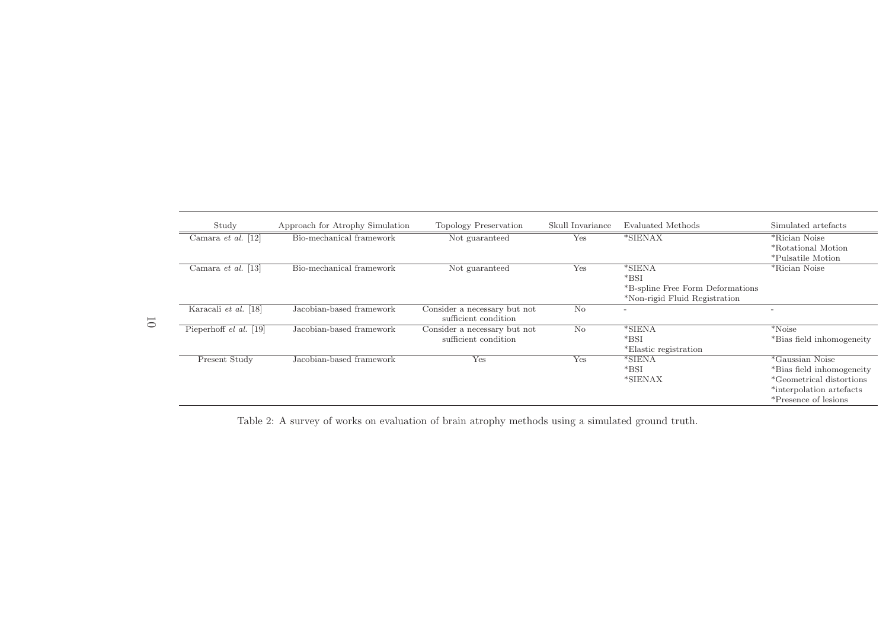| Study                  | Approach for Atrophy Simulation | Topology Preservation                                | Skull Invariance | Evaluated Methods                                                                       | Simulated artefacts                                                                                                                          |
|------------------------|---------------------------------|------------------------------------------------------|------------------|-----------------------------------------------------------------------------------------|----------------------------------------------------------------------------------------------------------------------------------------------|
| Camara et al. $[12]$   | Bio-mechanical framework        | Not guaranteed                                       | Yes              | *SIENAX                                                                                 | *Rician Noise<br>*Rotational Motion<br>*Pulsatile Motion                                                                                     |
| Camara et al. $[13]$   | Bio-mechanical framework        | Not guaranteed                                       | Yes              | $*SIENA$<br>$*BSI$<br>*B-spline Free Form Deformations<br>*Non-rigid Fluid Registration | *Rician Noise                                                                                                                                |
| Karacali et al. [18]   | Jacobian-based framework        | Consider a necessary but not<br>sufficient condition | N <sub>o</sub>   | $\overline{\phantom{a}}$                                                                | $\overline{\phantom{0}}$                                                                                                                     |
| Pieperhoff el al. [19] | Jacobian-based framework        | Consider a necessary but not<br>sufficient condition | No               | $*SIFNA$<br>$*BSI$<br>*Elastic registration                                             | $*$ Noise<br>*Bias field inhomogeneity                                                                                                       |
| Present Study          | Jacobian-based framework        | Yes                                                  | Yes              | *SIENA<br>$*BSI$<br>*SIENAX                                                             | <i>*</i> Gaussian Noise<br>*Bias field inhomogeneity<br><i>*</i> Geometrical distortions<br>*interpolation artefacts<br>*Presence of lesions |

Table 2: <sup>A</sup> survey of works on evaluation of brain atrophy methods using <sup>a</sup> simulated ground truth.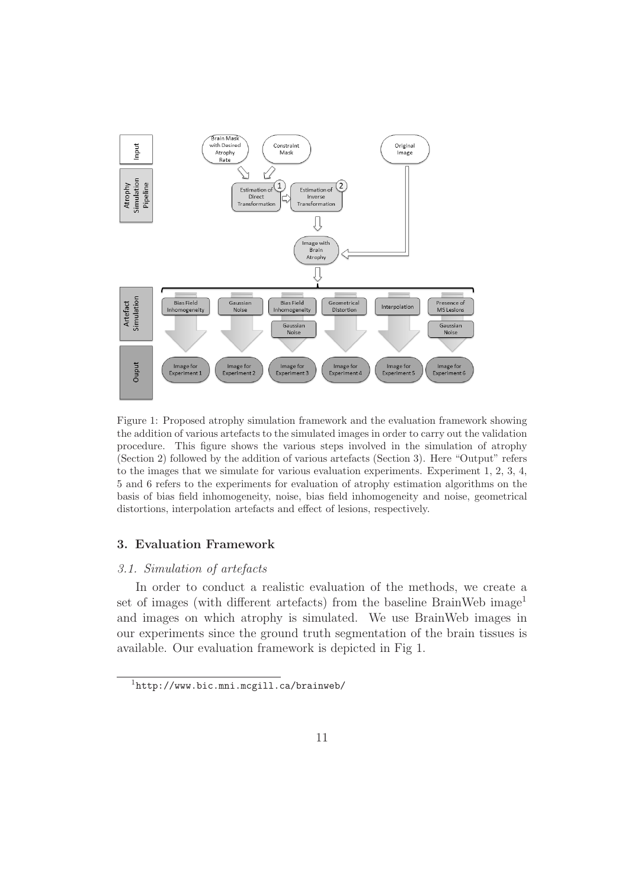

Figure 1: Proposed atrophy simulation framework and the evaluation framework showing the addition of various artefacts to the simulated images in order to carry out the validation procedure. This figure shows the various steps involved in the simulation of atrophy (Section 2) followed by the addition of various artefacts (Section 3). Here "Output" refers to the images that we simulate for various evaluation experiments. Experiment 1, 2, 3, 4, 5 and 6 refers to the experiments for evaluation of atrophy estimation algorithms on the basis of bias field inhomogeneity, noise, bias field inhomogeneity and noise, geometrical distortions, interpolation artefacts and effect of lesions, respectively.

# 3. Evaluation Framework

#### 3.1. Simulation of artefacts

In order to conduct a realistic evaluation of the methods, we create a set of images (with different artefacts) from the baseline BrainWeb image<sup>1</sup> and images on which atrophy is simulated. We use BrainWeb images in our experiments since the ground truth segmentation of the brain tissues is available. Our evaluation framework is depicted in Fig 1.

 $1$ http://www.bic.mni.mcgill.ca/brainweb/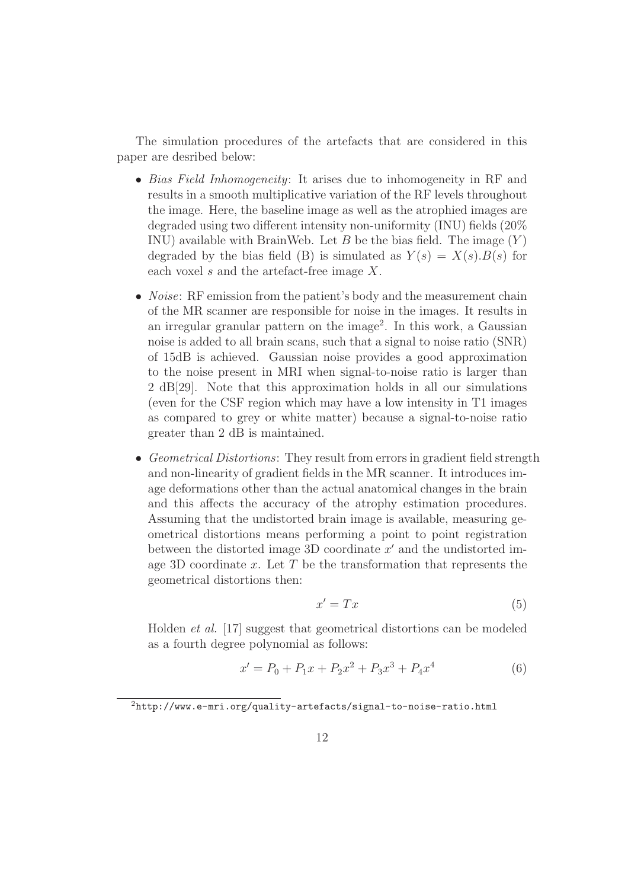The simulation procedures of the artefacts that are considered in this paper are desribed below:

- Bias Field Inhomogeneity: It arises due to inhomogeneity in RF and results in a smooth multiplicative variation of the RF levels throughout the image. Here, the baseline image as well as the atrophied images are degraded using two different intensity non-uniformity (INU) fields (20% INU) available with BrainWeb. Let B be the bias field. The image  $(Y)$ degraded by the bias field (B) is simulated as  $Y(s) = X(s) \cdot B(s)$  for each voxel  $s$  and the artefact-free image  $X$ .
- *Noise*: RF emission from the patient's body and the measurement chain of the MR scanner are responsible for noise in the images. It results in an irregular granular pattern on the image<sup>2</sup>. In this work, a Gaussian noise is added to all brain scans, such that a signal to noise ratio (SNR) of 15dB is achieved. Gaussian noise provides a good approximation to the noise present in MRI when signal-to-noise ratio is larger than 2 dB[29]. Note that this approximation holds in all our simulations (even for the CSF region which may have a low intensity in T1 images as compared to grey or white matter) because a signal-to-noise ratio greater than 2 dB is maintained.
- Geometrical Distortions: They result from errors in gradient field strength and non-linearity of gradient fields in the MR scanner. It introduces image deformations other than the actual anatomical changes in the brain and this affects the accuracy of the atrophy estimation procedures. Assuming that the undistorted brain image is available, measuring geometrical distortions means performing a point to point registration between the distorted image 3D coordinate  $x'$  and the undistorted image 3D coordinate x. Let  $T$  be the transformation that represents the geometrical distortions then:

$$
x' = Tx \tag{5}
$$

Holden et al. [17] suggest that geometrical distortions can be modeled as a fourth degree polynomial as follows:

$$
x' = P_0 + P_1 x + P_2 x^2 + P_3 x^3 + P_4 x^4 \tag{6}
$$

<sup>2</sup>http://www.e-mri.org/quality-artefacts/signal-to-noise-ratio.html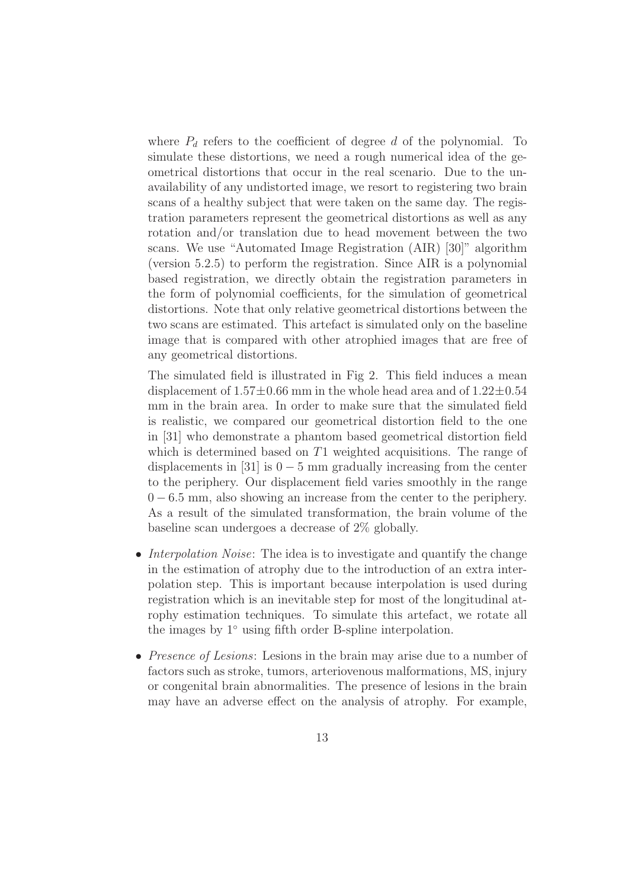where  $P_d$  refers to the coefficient of degree d of the polynomial. To simulate these distortions, we need a rough numerical idea of the geometrical distortions that occur in the real scenario. Due to the unavailability of any undistorted image, we resort to registering two brain scans of a healthy subject that were taken on the same day. The registration parameters represent the geometrical distortions as well as any rotation and/or translation due to head movement between the two scans. We use "Automated Image Registration (AIR) [30]" algorithm (version 5.2.5) to perform the registration. Since AIR is a polynomial based registration, we directly obtain the registration parameters in the form of polynomial coefficients, for the simulation of geometrical distortions. Note that only relative geometrical distortions between the two scans are estimated. This artefact is simulated only on the baseline image that is compared with other atrophied images that are free of any geometrical distortions.

The simulated field is illustrated in Fig 2. This field induces a mean displacement of  $1.57\pm0.66$  mm in the whole head area and of  $1.22\pm0.54$ mm in the brain area. In order to make sure that the simulated field is realistic, we compared our geometrical distortion field to the one in [31] who demonstrate a phantom based geometrical distortion field which is determined based on T1 weighted acquisitions. The range of displacements in [31] is  $0 - 5$  mm gradually increasing from the center to the periphery. Our displacement field varies smoothly in the range  $0 - 6.5$  mm, also showing an increase from the center to the periphery. As a result of the simulated transformation, the brain volume of the baseline scan undergoes a decrease of 2% globally.

- Interpolation Noise: The idea is to investigate and quantify the change in the estimation of atrophy due to the introduction of an extra interpolation step. This is important because interpolation is used during registration which is an inevitable step for most of the longitudinal atrophy estimation techniques. To simulate this artefact, we rotate all the images by 1◦ using fifth order B-spline interpolation.
- *Presence of Lesions*: Lesions in the brain may arise due to a number of factors such as stroke, tumors, arteriovenous malformations, MS, injury or congenital brain abnormalities. The presence of lesions in the brain may have an adverse effect on the analysis of atrophy. For example,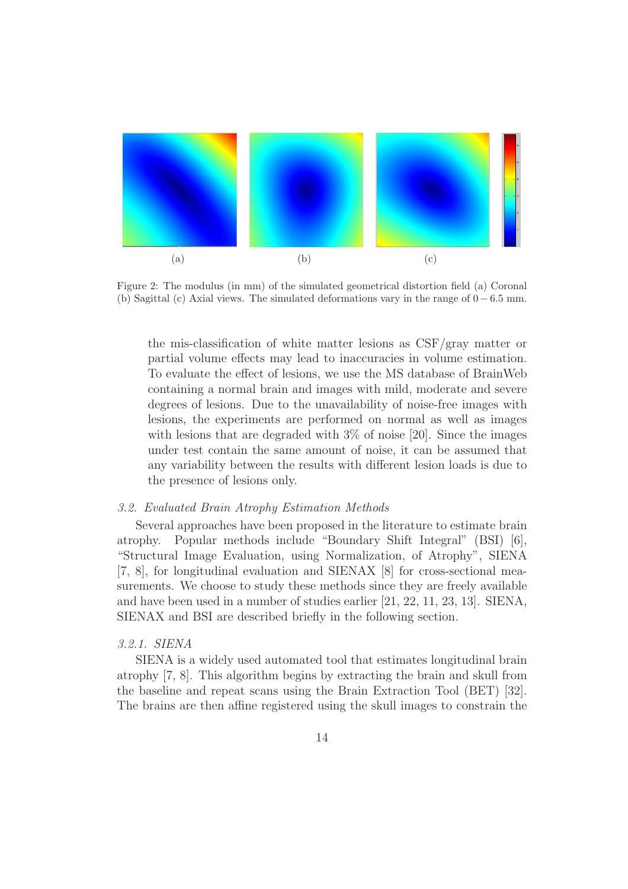

Figure 2: The modulus (in mm) of the simulated geometrical distortion field (a) Coronal (b) Sagittal (c) Axial views. The simulated deformations vary in the range of  $0 - 6.5$  mm.

the mis-classification of white matter lesions as CSF/gray matter or partial volume effects may lead to inaccuracies in volume estimation. To evaluate the effect of lesions, we use the MS database of BrainWeb containing a normal brain and images with mild, moderate and severe degrees of lesions. Due to the unavailability of noise-free images with lesions, the experiments are performed on normal as well as images with lesions that are degraded with  $3\%$  of noise [20]. Since the images under test contain the same amount of noise, it can be assumed that any variability between the results with different lesion loads is due to the presence of lesions only.

# 3.2. Evaluated Brain Atrophy Estimation Methods

Several approaches have been proposed in the literature to estimate brain atrophy. Popular methods include "Boundary Shift Integral" (BSI) [6], "Structural Image Evaluation, using Normalization, of Atrophy", SIENA [7, 8], for longitudinal evaluation and SIENAX [8] for cross-sectional measurements. We choose to study these methods since they are freely available and have been used in a number of studies earlier [21, 22, 11, 23, 13]. SIENA, SIENAX and BSI are described briefly in the following section.

#### 3.2.1. SIENA

SIENA is a widely used automated tool that estimates longitudinal brain atrophy [7, 8]. This algorithm begins by extracting the brain and skull from the baseline and repeat scans using the Brain Extraction Tool (BET) [32]. The brains are then affine registered using the skull images to constrain the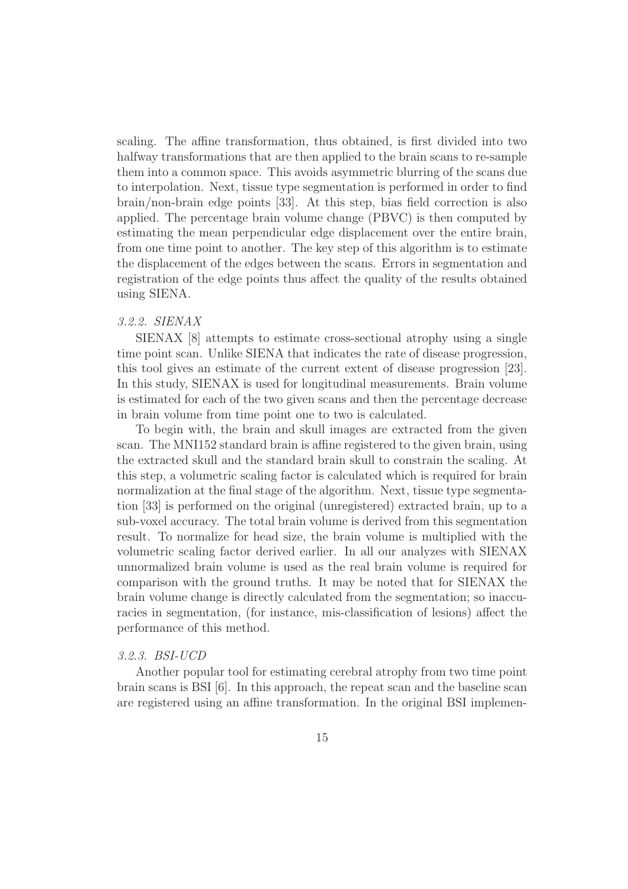scaling. The affine transformation, thus obtained, is first divided into two halfway transformations that are then applied to the brain scans to re-sample them into a common space. This avoids asymmetric blurring of the scans due to interpolation. Next, tissue type segmentation is performed in order to find brain/non-brain edge points [33]. At this step, bias field correction is also applied. The percentage brain volume change (PBVC) is then computed by estimating the mean perpendicular edge displacement over the entire brain, from one time point to another. The key step of this algorithm is to estimate the displacement of the edges between the scans. Errors in segmentation and registration of the edge points thus affect the quality of the results obtained using SIENA.

# 3.2.2. SIENAX

SIENAX [8] attempts to estimate cross-sectional atrophy using a single time point scan. Unlike SIENA that indicates the rate of disease progression, this tool gives an estimate of the current extent of disease progression [23]. In this study, SIENAX is used for longitudinal measurements. Brain volume is estimated for each of the two given scans and then the percentage decrease in brain volume from time point one to two is calculated.

To begin with, the brain and skull images are extracted from the given scan. The MNI152 standard brain is affine registered to the given brain, using the extracted skull and the standard brain skull to constrain the scaling. At this step, a volumetric scaling factor is calculated which is required for brain normalization at the final stage of the algorithm. Next, tissue type segmentation [33] is performed on the original (unregistered) extracted brain, up to a sub-voxel accuracy. The total brain volume is derived from this segmentation result. To normalize for head size, the brain volume is multiplied with the volumetric scaling factor derived earlier. In all our analyzes with SIENAX unnormalized brain volume is used as the real brain volume is required for comparison with the ground truths. It may be noted that for SIENAX the brain volume change is directly calculated from the segmentation; so inaccuracies in segmentation, (for instance, mis-classification of lesions) affect the performance of this method.

# 3.2.3. BSI-UCD

Another popular tool for estimating cerebral atrophy from two time point brain scans is BSI [6]. In this approach, the repeat scan and the baseline scan are registered using an affine transformation. In the original BSI implemen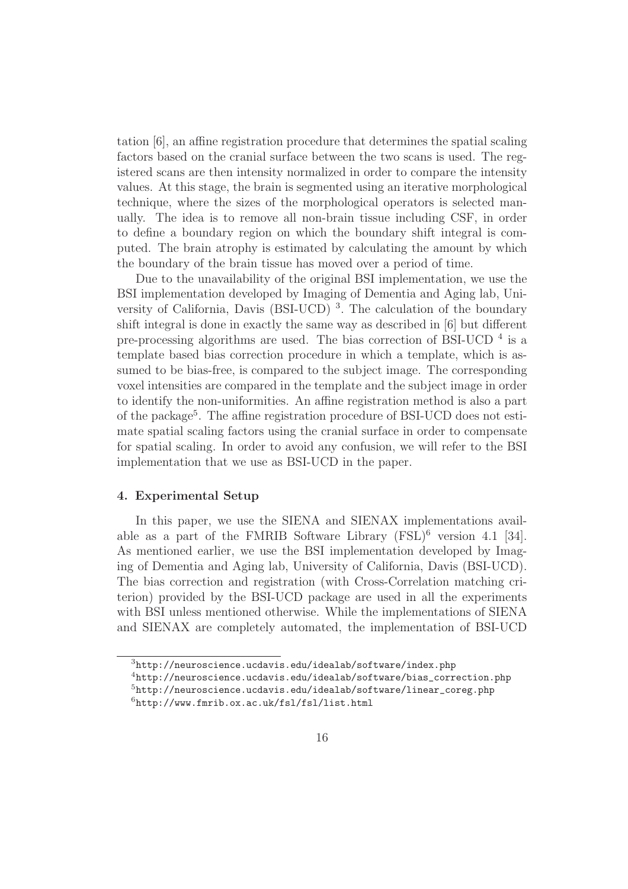tation [6], an affine registration procedure that determines the spatial scaling factors based on the cranial surface between the two scans is used. The registered scans are then intensity normalized in order to compare the intensity values. At this stage, the brain is segmented using an iterative morphological technique, where the sizes of the morphological operators is selected manually. The idea is to remove all non-brain tissue including CSF, in order to define a boundary region on which the boundary shift integral is computed. The brain atrophy is estimated by calculating the amount by which the boundary of the brain tissue has moved over a period of time.

Due to the unavailability of the original BSI implementation, we use the BSI implementation developed by Imaging of Dementia and Aging lab, University of California, Davis (BSI-UCD)<sup>3</sup>. The calculation of the boundary shift integral is done in exactly the same way as described in [6] but different pre-processing algorithms are used. The bias correction of BSI-UCD  $<sup>4</sup>$  is a</sup> template based bias correction procedure in which a template, which is assumed to be bias-free, is compared to the subject image. The corresponding voxel intensities are compared in the template and the subject image in order to identify the non-uniformities. An affine registration method is also a part of the package<sup>5</sup>. The affine registration procedure of BSI-UCD does not estimate spatial scaling factors using the cranial surface in order to compensate for spatial scaling. In order to avoid any confusion, we will refer to the BSI implementation that we use as BSI-UCD in the paper.

#### 4. Experimental Setup

In this paper, we use the SIENA and SIENAX implementations available as a part of the FMRIB Software Library  $(FSL)^6$  version 4.1 [34]. As mentioned earlier, we use the BSI implementation developed by Imaging of Dementia and Aging lab, University of California, Davis (BSI-UCD). The bias correction and registration (with Cross-Correlation matching criterion) provided by the BSI-UCD package are used in all the experiments with BSI unless mentioned otherwise. While the implementations of SIENA and SIENAX are completely automated, the implementation of BSI-UCD

 $3$ http://neuroscience.ucdavis.edu/idealab/software/index.php

<sup>4</sup>http://neuroscience.ucdavis.edu/idealab/software/bias\_correction.php

 $5$ http://neuroscience.ucdavis.edu/idealab/software/linear\_coreg.php  $6$ http://www.fmrib.ox.ac.uk/fsl/fsl/list.html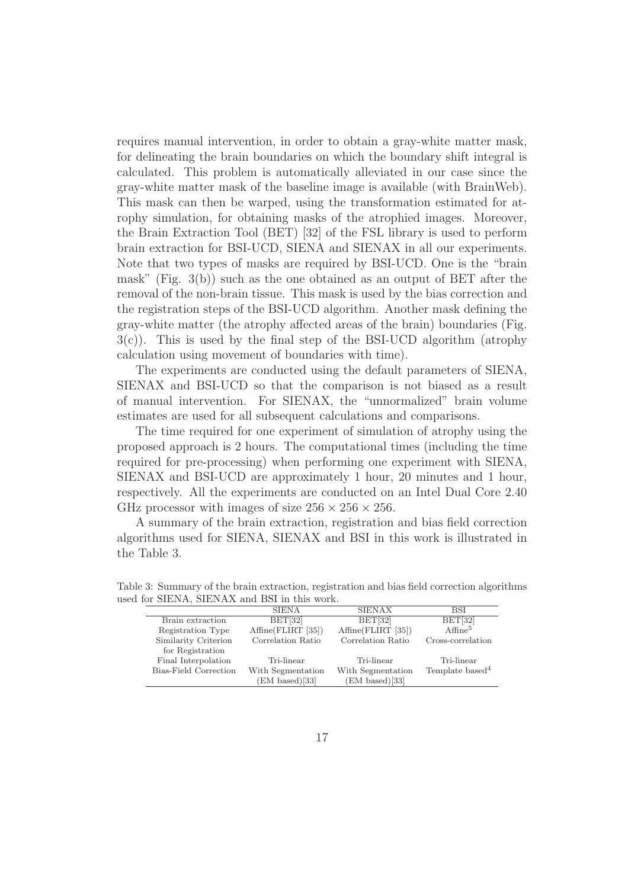requires manual intervention, in order to obtain a gray-white matter mask, for delineating the brain boundaries on which the boundary shift integral is calculated. This problem is automatically alleviated in our case since the gray-white matter mask of the baseline image is available (with BrainWeb). This mask can then be warped, using the transformation estimated for atrophy simulation, for obtaining masks of the atrophied images. Moreover, the Brain Extraction Tool (BET) [32] of the FSL library is used to perform brain extraction for BSI-UCD, SIENA and SIENAX in all our experiments. Note that two types of masks are required by BSI-UCD. One is the "brain mask" (Fig.  $3(b)$ ) such as the one obtained as an output of BET after the removal of the non-brain tissue. This mask is used by the bias correction and the registration steps of the BSI-UCD algorithm. Another mask defining the gray-white matter (the atrophy affected areas of the brain) boundaries (Fig.  $3(c)$ ). This is used by the final step of the BSI-UCD algorithm (atrophy calculation using movement of boundaries with time).

The experiments are conducted using the default parameters of SIENA, SIENAX and BSI-UCD so that the comparison is not biased as a result of manual intervention. For SIENAX, the "unnormalized" brain volume estimates are used for all subsequent calculations and comparisons.

The time required for one experiment of simulation of atrophy using the proposed approach is 2 hours. The computational times (including the time required for pre-processing) when performing one experiment with SIENA, SIENAX and BSI-UCD are approximately 1 hour, 20 minutes and 1 hour, respectively. All the experiments are conducted on an Intel Dual Core 2.40 GHz processor with images of size  $256 \times 256 \times 256$ .

A summary of the brain extraction, registration and bias field correction algorithms used for SIENA, SIENAX and BSI in this work is illustrated in the Table 3.

|                       | <b>SIENA</b>       | <b>SIENAX</b>      | <b>BSI</b>                  |
|-----------------------|--------------------|--------------------|-----------------------------|
| Brain extraction      | BET[32]            | BET[32]            | BET[32]                     |
| Registration Type     | Affine(FLIRT [35]) | Affine(FLIRT [35]) | $A$ ffine <sup>5</sup>      |
| Similarity Criterion  | Correlation Ratio  | Correlation Ratio  | Cross-correlation           |
| for Registration      |                    |                    |                             |
| Final Interpolation   | Tri-linear         | Tri-linear         | Tri-linear                  |
| Bias-Field Correction | With Segmentation  | With Segmentation  | Template based <sup>4</sup> |
|                       | EM based)[33]      | (EM based)[33]     |                             |

Table 3: Summary of the brain extraction, registration and bias field correction algorithms used for SIENA, SIENAX and BSI in this work.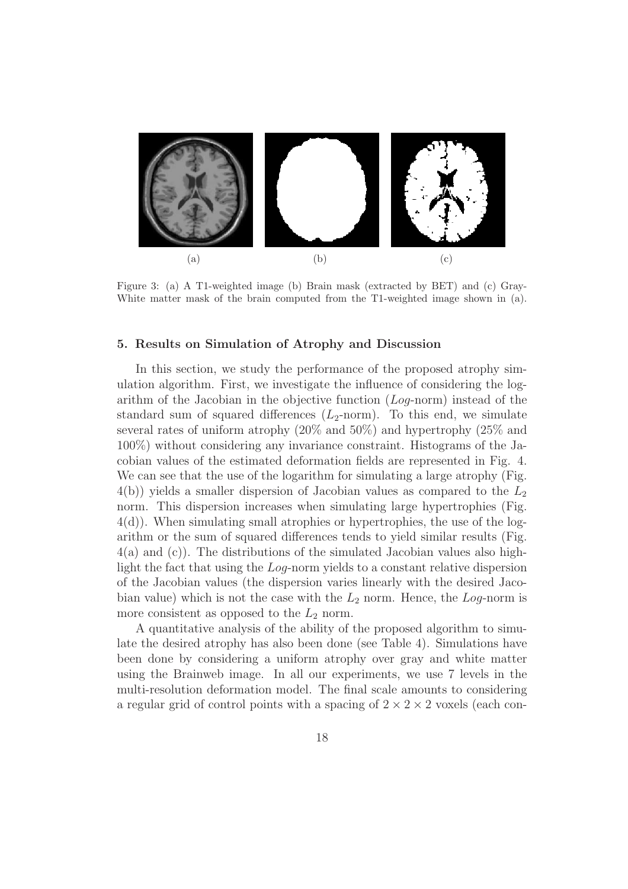

Figure 3: (a) A T1-weighted image (b) Brain mask (extracted by BET) and (c) Gray-White matter mask of the brain computed from the T1-weighted image shown in (a).

# 5. Results on Simulation of Atrophy and Discussion

In this section, we study the performance of the proposed atrophy simulation algorithm. First, we investigate the influence of considering the logarithm of the Jacobian in the objective function  $(Log-norm)$  instead of the standard sum of squared differences  $(L_2\text{-norm})$ . To this end, we simulate several rates of uniform atrophy (20% and 50%) and hypertrophy (25% and 100%) without considering any invariance constraint. Histograms of the Jacobian values of the estimated deformation fields are represented in Fig. 4. We can see that the use of the logarithm for simulating a large atrophy (Fig.  $4(b)$ ) yields a smaller dispersion of Jacobian values as compared to the  $L_2$ norm. This dispersion increases when simulating large hypertrophies (Fig. 4(d)). When simulating small atrophies or hypertrophies, the use of the logarithm or the sum of squared differences tends to yield similar results (Fig. 4(a) and (c)). The distributions of the simulated Jacobian values also highlight the fact that using the Log-norm yields to a constant relative dispersion of the Jacobian values (the dispersion varies linearly with the desired Jacobian value) which is not the case with the  $L_2$  norm. Hence, the Log-norm is more consistent as opposed to the  $L_2$  norm.

A quantitative analysis of the ability of the proposed algorithm to simulate the desired atrophy has also been done (see Table 4). Simulations have been done by considering a uniform atrophy over gray and white matter using the Brainweb image. In all our experiments, we use 7 levels in the multi-resolution deformation model. The final scale amounts to considering a regular grid of control points with a spacing of  $2 \times 2 \times 2$  voxels (each con-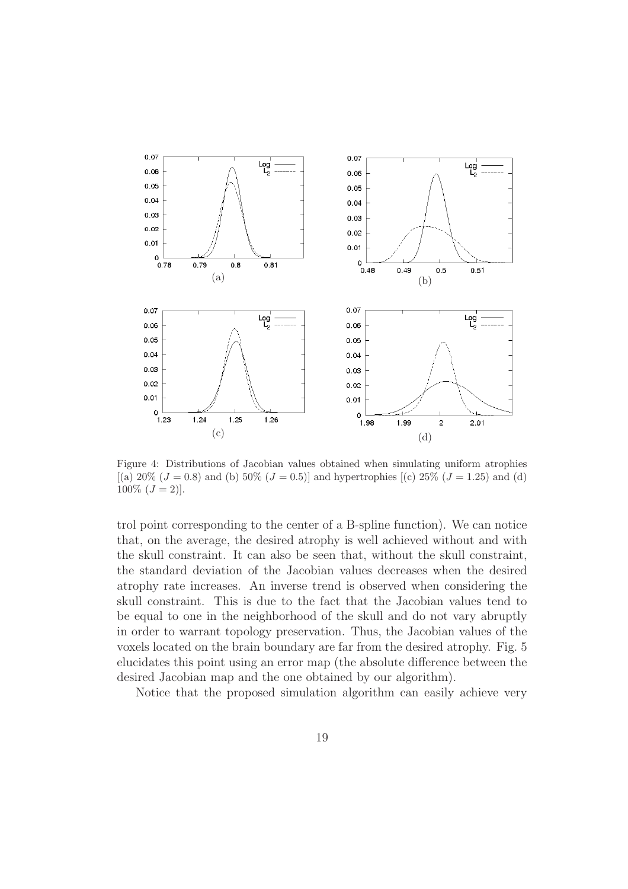![](_page_19_Figure_0.jpeg)

Figure 4: Distributions of Jacobian values obtained when simulating uniform atrophies  $[(a) 20\% (J = 0.8)$  and (b)  $50\% (J = 0.5)]$  and hypertrophies  $[(c) 25\% (J = 1.25)$  and (d)  $100\%$   $(J = 2)$ ].

trol point corresponding to the center of a B-spline function). We can notice that, on the average, the desired atrophy is well achieved without and with the skull constraint. It can also be seen that, without the skull constraint, the standard deviation of the Jacobian values decreases when the desired atrophy rate increases. An inverse trend is observed when considering the skull constraint. This is due to the fact that the Jacobian values tend to be equal to one in the neighborhood of the skull and do not vary abruptly in order to warrant topology preservation. Thus, the Jacobian values of the voxels located on the brain boundary are far from the desired atrophy. Fig. 5 elucidates this point using an error map (the absolute difference between the desired Jacobian map and the one obtained by our algorithm).

Notice that the proposed simulation algorithm can easily achieve very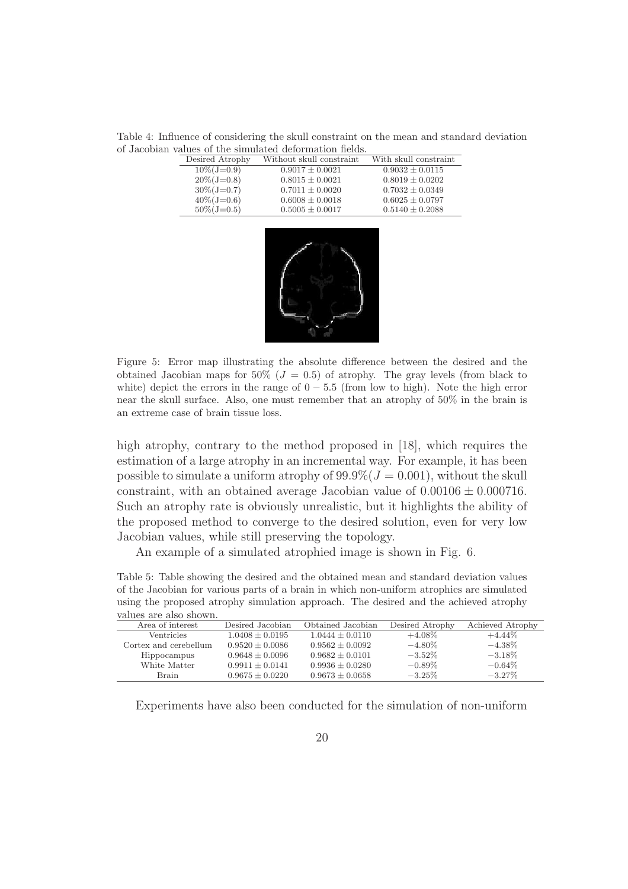Table 4: Influence of considering the skull constraint on the mean and standard deviation of Jacobian values of the simulated deformation fields.

| Desired Atrophy | Without skull constraint | With skull constraint |  |  |  |  |
|-----------------|--------------------------|-----------------------|--|--|--|--|
| $10\%$ (J=0.9)  | $0.9017 \pm 0.0021$      | $0.9032 \pm 0.0115$   |  |  |  |  |
| $20\%$ (J=0.8)  | $0.8015 \pm 0.0021$      | $0.8019 \pm 0.0202$   |  |  |  |  |
| $30\%$ (J=0.7)  | $0.7011 \pm 0.0020$      | $0.7032 \pm 0.0349$   |  |  |  |  |
| $40\%$ (J=0.6)  | $0.6008 \pm 0.0018$      | $0.6025 \pm 0.0797$   |  |  |  |  |
| $50\%$ (J=0.5)  | $0.5005 \pm 0.0017$      | $0.5140 \pm 0.2088$   |  |  |  |  |

![](_page_20_Figure_2.jpeg)

Figure 5: Error map illustrating the absolute difference between the desired and the obtained Jacobian maps for 50% ( $J = 0.5$ ) of atrophy. The gray levels (from black to white) depict the errors in the range of  $0 - 5.5$  (from low to high). Note the high error near the skull surface. Also, one must remember that an atrophy of 50% in the brain is an extreme case of brain tissue loss.

high atrophy, contrary to the method proposed in [18], which requires the estimation of a large atrophy in an incremental way. For example, it has been possible to simulate a uniform atrophy of  $99.9\%$   $(J = 0.001)$ , without the skull constraint, with an obtained average Jacobian value of  $0.00106 \pm 0.000716$ . Such an atrophy rate is obviously unrealistic, but it highlights the ability of the proposed method to converge to the desired solution, even for very low Jacobian values, while still preserving the topology.

An example of a simulated atrophied image is shown in Fig. 6.

Table 5: Table showing the desired and the obtained mean and standard deviation values of the Jacobian for various parts of a brain in which non-uniform atrophies are simulated using the proposed atrophy simulation approach. The desired and the achieved atrophy values are also shown.

| , www.communication.com |                     |                     |                 |                  |
|-------------------------|---------------------|---------------------|-----------------|------------------|
| Area of interest        | Desired Jacobian    | Obtained Jacobian   | Desired Atrophy | Achieved Atrophy |
| <b>Ventricles</b>       | $1.0408 + 0.0195$   | $1.0444 + 0.0110$   | $+4.08\%$       | $+4.44\%$        |
| Cortex and cerebellum   | $0.9520 + 0.0086$   | $0.9562 + 0.0092$   | $-4.80\%$       | $-4.38\%$        |
| Hippocampus             | $0.9648 + 0.0096$   | $0.9682 + 0.0101$   | $-3.52\%$       | $-3.18\%$        |
| White Matter            | $0.9911 + 0.0141$   | $0.9936 \pm 0.0280$ | $-0.89\%$       | $-0.64\%$        |
| Brain                   | $0.9675 \pm 0.0220$ | $0.9673 \pm 0.0658$ | $-3.25\%$       | $-3.27\%$        |

Experiments have also been conducted for the simulation of non-uniform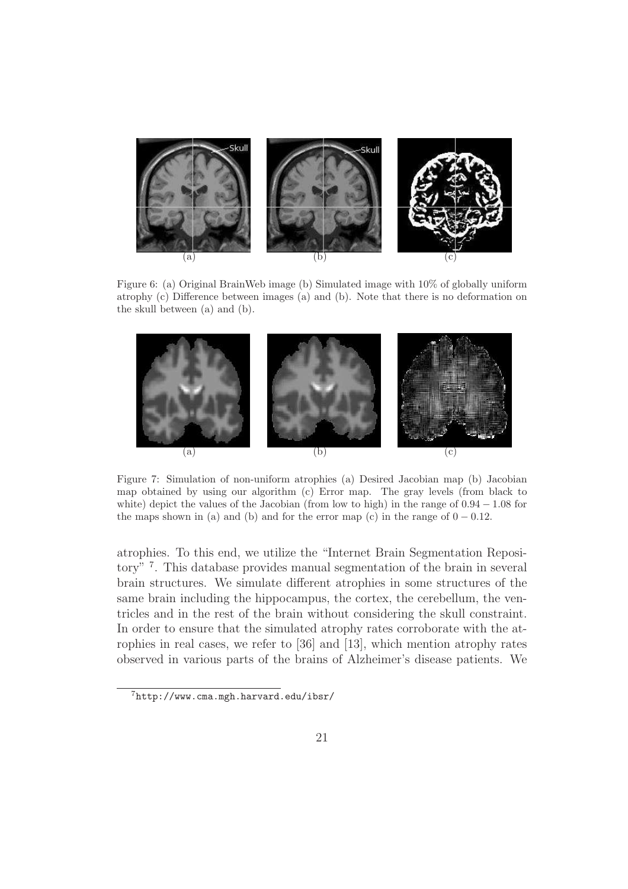![](_page_21_Figure_0.jpeg)

Figure 6: (a) Original BrainWeb image (b) Simulated image with 10% of globally uniform atrophy (c) Difference between images (a) and (b). Note that there is no deformation on the skull between (a) and (b).

![](_page_21_Figure_2.jpeg)

Figure 7: Simulation of non-uniform atrophies (a) Desired Jacobian map (b) Jacobian map obtained by using our algorithm (c) Error map. The gray levels (from black to white) depict the values of the Jacobian (from low to high) in the range of  $0.94 - 1.08$  for the maps shown in (a) and (b) and for the error map (c) in the range of  $0 - 0.12$ .

atrophies. To this end, we utilize the "Internet Brain Segmentation Repository"<sup>7</sup>. This database provides manual segmentation of the brain in several brain structures. We simulate different atrophies in some structures of the same brain including the hippocampus, the cortex, the cerebellum, the ventricles and in the rest of the brain without considering the skull constraint. In order to ensure that the simulated atrophy rates corroborate with the atrophies in real cases, we refer to [36] and [13], which mention atrophy rates observed in various parts of the brains of Alzheimer's disease patients. We

 $7$ http://www.cma.mgh.harvard.edu/ibsr/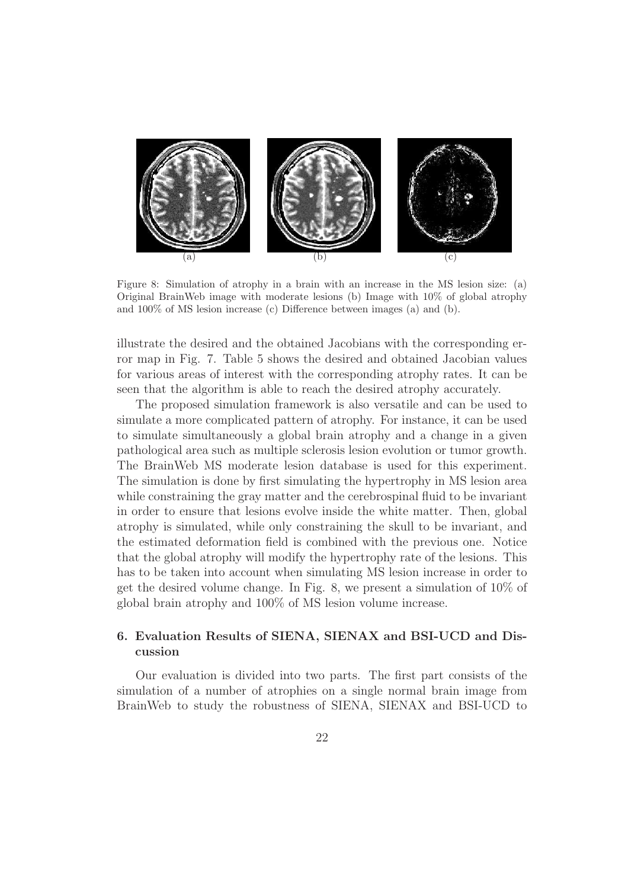![](_page_22_Figure_0.jpeg)

Figure 8: Simulation of atrophy in a brain with an increase in the MS lesion size: (a) Original BrainWeb image with moderate lesions (b) Image with 10% of global atrophy and 100% of MS lesion increase (c) Difference between images (a) and (b).

illustrate the desired and the obtained Jacobians with the corresponding error map in Fig. 7. Table 5 shows the desired and obtained Jacobian values for various areas of interest with the corresponding atrophy rates. It can be seen that the algorithm is able to reach the desired atrophy accurately.

The proposed simulation framework is also versatile and can be used to simulate a more complicated pattern of atrophy. For instance, it can be used to simulate simultaneously a global brain atrophy and a change in a given pathological area such as multiple sclerosis lesion evolution or tumor growth. The BrainWeb MS moderate lesion database is used for this experiment. The simulation is done by first simulating the hypertrophy in MS lesion area while constraining the gray matter and the cerebrospinal fluid to be invariant in order to ensure that lesions evolve inside the white matter. Then, global atrophy is simulated, while only constraining the skull to be invariant, and the estimated deformation field is combined with the previous one. Notice that the global atrophy will modify the hypertrophy rate of the lesions. This has to be taken into account when simulating MS lesion increase in order to get the desired volume change. In Fig. 8, we present a simulation of 10% of global brain atrophy and 100% of MS lesion volume increase.

# 6. Evaluation Results of SIENA, SIENAX and BSI-UCD and Discussion

Our evaluation is divided into two parts. The first part consists of the simulation of a number of atrophies on a single normal brain image from BrainWeb to study the robustness of SIENA, SIENAX and BSI-UCD to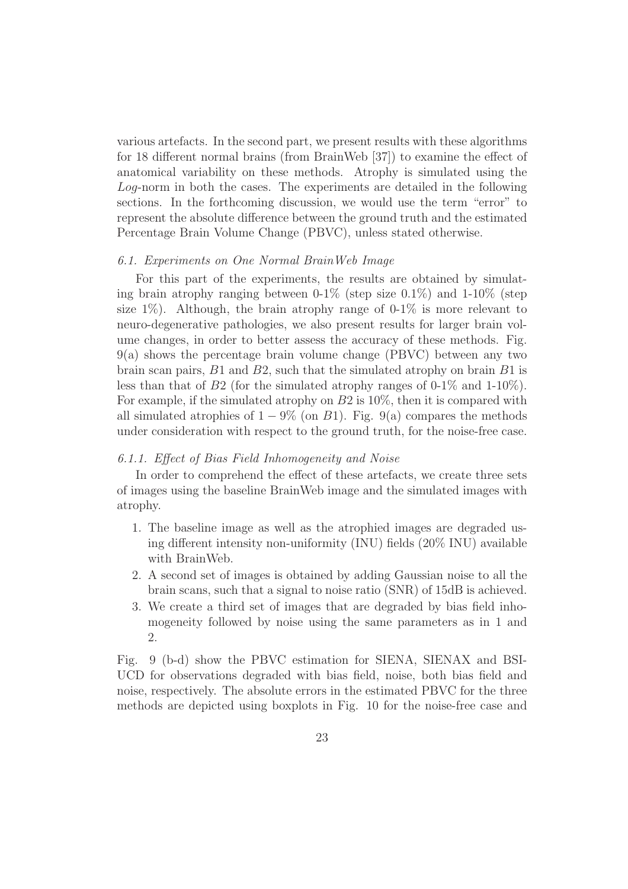various artefacts. In the second part, we present results with these algorithms for 18 different normal brains (from BrainWeb [37]) to examine the effect of anatomical variability on these methods. Atrophy is simulated using the Log-norm in both the cases. The experiments are detailed in the following sections. In the forthcoming discussion, we would use the term "error" to represent the absolute difference between the ground truth and the estimated Percentage Brain Volume Change (PBVC), unless stated otherwise.

# 6.1. Experiments on One Normal BrainWeb Image

For this part of the experiments, the results are obtained by simulating brain atrophy ranging between  $0.1\%$  (step size  $0.1\%$ ) and  $1-10\%$  (step size  $1\%$ ). Although, the brain atrophy range of 0-1% is more relevant to neuro-degenerative pathologies, we also present results for larger brain volume changes, in order to better assess the accuracy of these methods. Fig. 9(a) shows the percentage brain volume change (PBVC) between any two brain scan pairs,  $B1$  and  $B2$ , such that the simulated atrophy on brain  $B1$  is less than that of B2 (for the simulated atrophy ranges of 0-1% and 1-10%). For example, if the simulated atrophy on B2 is 10%, then it is compared with all simulated atrophies of  $1 - 9\%$  (on B1). Fig. 9(a) compares the methods under consideration with respect to the ground truth, for the noise-free case.

# 6.1.1. Effect of Bias Field Inhomogeneity and Noise

In order to comprehend the effect of these artefacts, we create three sets of images using the baseline BrainWeb image and the simulated images with atrophy.

- 1. The baseline image as well as the atrophied images are degraded using different intensity non-uniformity (INU) fields (20% INU) available with BrainWeb.
- 2. A second set of images is obtained by adding Gaussian noise to all the brain scans, such that a signal to noise ratio (SNR) of 15dB is achieved.
- 3. We create a third set of images that are degraded by bias field inhomogeneity followed by noise using the same parameters as in 1 and 2.

Fig. 9 (b-d) show the PBVC estimation for SIENA, SIENAX and BSI-UCD for observations degraded with bias field, noise, both bias field and noise, respectively. The absolute errors in the estimated PBVC for the three methods are depicted using boxplots in Fig. 10 for the noise-free case and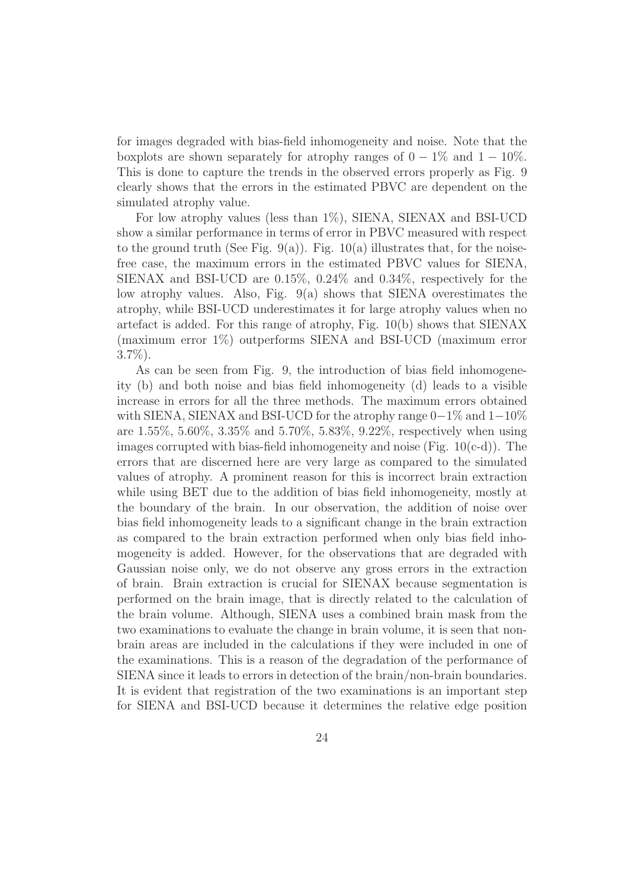for images degraded with bias-field inhomogeneity and noise. Note that the boxplots are shown separately for atrophy ranges of  $0-1\%$  and  $1-10\%$ . This is done to capture the trends in the observed errors properly as Fig. 9 clearly shows that the errors in the estimated PBVC are dependent on the simulated atrophy value.

For low atrophy values (less than 1%), SIENA, SIENAX and BSI-UCD show a similar performance in terms of error in PBVC measured with respect to the ground truth (See Fig. 9(a)). Fig.  $10(a)$  illustrates that, for the noisefree case, the maximum errors in the estimated PBVC values for SIENA, SIENAX and BSI-UCD are 0.15%, 0.24% and 0.34%, respectively for the low atrophy values. Also, Fig. 9(a) shows that SIENA overestimates the atrophy, while BSI-UCD underestimates it for large atrophy values when no artefact is added. For this range of atrophy, Fig. 10(b) shows that SIENAX (maximum error 1%) outperforms SIENA and BSI-UCD (maximum error  $3.7\%$ ).

As can be seen from Fig. 9, the introduction of bias field inhomogeneity (b) and both noise and bias field inhomogeneity (d) leads to a visible increase in errors for all the three methods. The maximum errors obtained with SIENA, SIENAX and BSI-UCD for the atrophy range 0−1% and 1−10% are 1.55%, 5.60%, 3.35% and 5.70%, 5.83%, 9.22%, respectively when using images corrupted with bias-field inhomogeneity and noise (Fig. 10(c-d)). The errors that are discerned here are very large as compared to the simulated values of atrophy. A prominent reason for this is incorrect brain extraction while using BET due to the addition of bias field inhomogeneity, mostly at the boundary of the brain. In our observation, the addition of noise over bias field inhomogeneity leads to a significant change in the brain extraction as compared to the brain extraction performed when only bias field inhomogeneity is added. However, for the observations that are degraded with Gaussian noise only, we do not observe any gross errors in the extraction of brain. Brain extraction is crucial for SIENAX because segmentation is performed on the brain image, that is directly related to the calculation of the brain volume. Although, SIENA uses a combined brain mask from the two examinations to evaluate the change in brain volume, it is seen that nonbrain areas are included in the calculations if they were included in one of the examinations. This is a reason of the degradation of the performance of SIENA since it leads to errors in detection of the brain/non-brain boundaries. It is evident that registration of the two examinations is an important step for SIENA and BSI-UCD because it determines the relative edge position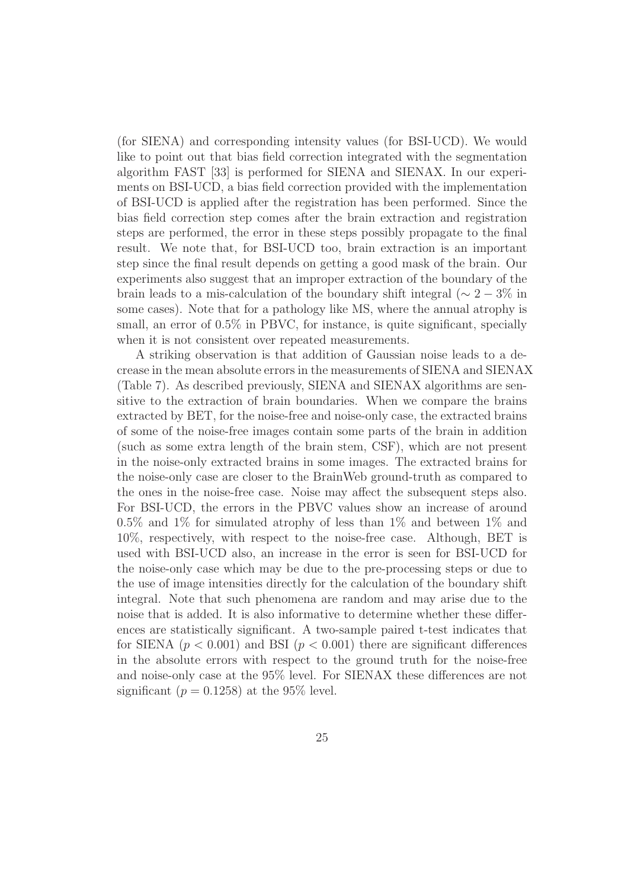(for SIENA) and corresponding intensity values (for BSI-UCD). We would like to point out that bias field correction integrated with the segmentation algorithm FAST [33] is performed for SIENA and SIENAX. In our experiments on BSI-UCD, a bias field correction provided with the implementation of BSI-UCD is applied after the registration has been performed. Since the bias field correction step comes after the brain extraction and registration steps are performed, the error in these steps possibly propagate to the final result. We note that, for BSI-UCD too, brain extraction is an important step since the final result depends on getting a good mask of the brain. Our experiments also suggest that an improper extraction of the boundary of the brain leads to a mis-calculation of the boundary shift integral ( $\sim 2-3\%$  in some cases). Note that for a pathology like MS, where the annual atrophy is small, an error of  $0.5\%$  in PBVC, for instance, is quite significant, specially when it is not consistent over repeated measurements.

A striking observation is that addition of Gaussian noise leads to a decrease in the mean absolute errors in the measurements of SIENA and SIENAX (Table 7). As described previously, SIENA and SIENAX algorithms are sensitive to the extraction of brain boundaries. When we compare the brains extracted by BET, for the noise-free and noise-only case, the extracted brains of some of the noise-free images contain some parts of the brain in addition (such as some extra length of the brain stem, CSF), which are not present in the noise-only extracted brains in some images. The extracted brains for the noise-only case are closer to the BrainWeb ground-truth as compared to the ones in the noise-free case. Noise may affect the subsequent steps also. For BSI-UCD, the errors in the PBVC values show an increase of around 0.5% and 1% for simulated atrophy of less than 1% and between 1% and 10%, respectively, with respect to the noise-free case. Although, BET is used with BSI-UCD also, an increase in the error is seen for BSI-UCD for the noise-only case which may be due to the pre-processing steps or due to the use of image intensities directly for the calculation of the boundary shift integral. Note that such phenomena are random and may arise due to the noise that is added. It is also informative to determine whether these differences are statistically significant. A two-sample paired t-test indicates that for SIENA ( $p < 0.001$ ) and BSI ( $p < 0.001$ ) there are significant differences in the absolute errors with respect to the ground truth for the noise-free and noise-only case at the 95% level. For SIENAX these differences are not significant ( $p = 0.1258$ ) at the 95% level.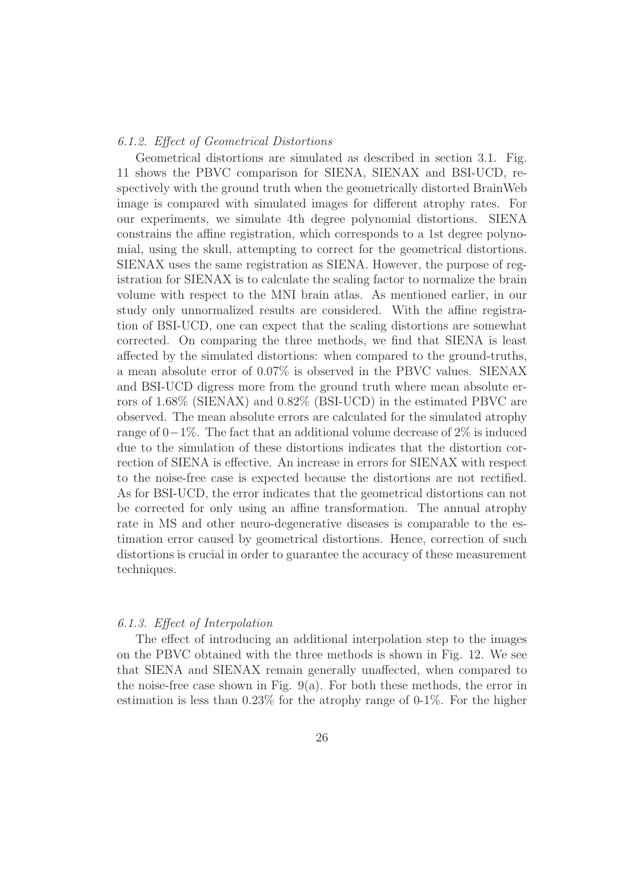# 6.1.2. Effect of Geometrical Distortions

Geometrical distortions are simulated as described in section 3.1. Fig. 11 shows the PBVC comparison for SIENA, SIENAX and BSI-UCD, respectively with the ground truth when the geometrically distorted BrainWeb image is compared with simulated images for different atrophy rates. For our experiments, we simulate 4th degree polynomial distortions. SIENA constrains the affine registration, which corresponds to a 1st degree polynomial, using the skull, attempting to correct for the geometrical distortions. SIENAX uses the same registration as SIENA. However, the purpose of registration for SIENAX is to calculate the scaling factor to normalize the brain volume with respect to the MNI brain atlas. As mentioned earlier, in our study only unnormalized results are considered. With the affine registration of BSI-UCD, one can expect that the scaling distortions are somewhat corrected. On comparing the three methods, we find that SIENA is least affected by the simulated distortions: when compared to the ground-truths, a mean absolute error of 0.07% is observed in the PBVC values. SIENAX and BSI-UCD digress more from the ground truth where mean absolute errors of 1.68% (SIENAX) and 0.82% (BSI-UCD) in the estimated PBVC are observed. The mean absolute errors are calculated for the simulated atrophy range of  $0-1\%$ . The fact that an additional volume decrease of 2% is induced due to the simulation of these distortions indicates that the distortion correction of SIENA is effective. An increase in errors for SIENAX with respect to the noise-free case is expected because the distortions are not rectified. As for BSI-UCD, the error indicates that the geometrical distortions can not be corrected for only using an affine transformation. The annual atrophy rate in MS and other neuro-degenerative diseases is comparable to the estimation error caused by geometrical distortions. Hence, correction of such distortions is crucial in order to guarantee the accuracy of these measurement techniques.

# 6.1.3. Effect of Interpolation

The effect of introducing an additional interpolation step to the images on the PBVC obtained with the three methods is shown in Fig. 12. We see that SIENA and SIENAX remain generally unaffected, when compared to the noise-free case shown in Fig.  $9(a)$ . For both these methods, the error in estimation is less than 0.23% for the atrophy range of 0-1%. For the higher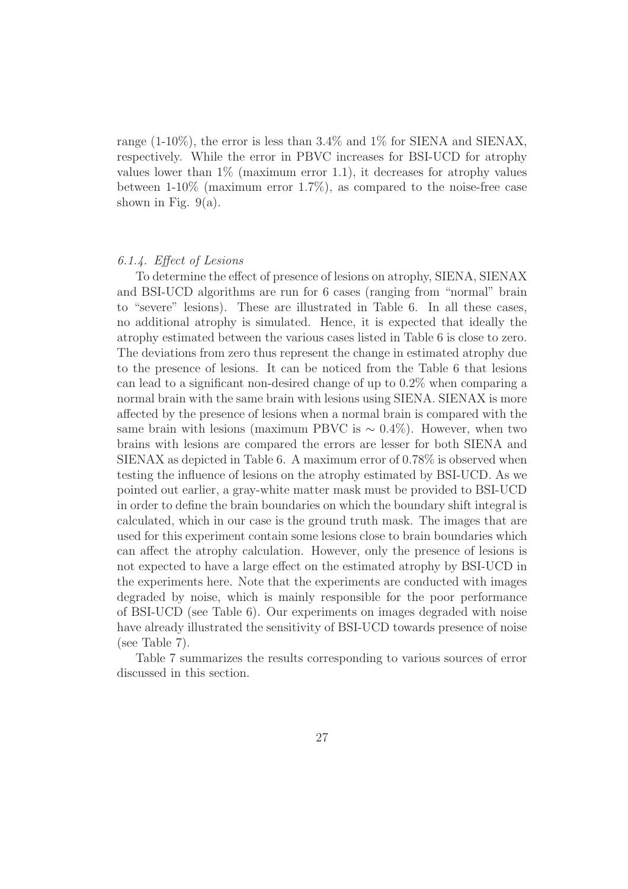range (1-10%), the error is less than 3.4% and 1% for SIENA and SIENAX, respectively. While the error in PBVC increases for BSI-UCD for atrophy values lower than  $1\%$  (maximum error 1.1), it decreases for atrophy values between 1-10% (maximum error 1.7%), as compared to the noise-free case shown in Fig.  $9(a)$ .

# 6.1.4. Effect of Lesions

To determine the effect of presence of lesions on atrophy, SIENA, SIENAX and BSI-UCD algorithms are run for 6 cases (ranging from "normal" brain to "severe" lesions). These are illustrated in Table 6. In all these cases, no additional atrophy is simulated. Hence, it is expected that ideally the atrophy estimated between the various cases listed in Table 6 is close to zero. The deviations from zero thus represent the change in estimated atrophy due to the presence of lesions. It can be noticed from the Table 6 that lesions can lead to a significant non-desired change of up to 0.2% when comparing a normal brain with the same brain with lesions using SIENA. SIENAX is more affected by the presence of lesions when a normal brain is compared with the same brain with lesions (maximum PBVC is  $\sim 0.4\%$ ). However, when two brains with lesions are compared the errors are lesser for both SIENA and SIENAX as depicted in Table 6. A maximum error of 0.78% is observed when testing the influence of lesions on the atrophy estimated by BSI-UCD. As we pointed out earlier, a gray-white matter mask must be provided to BSI-UCD in order to define the brain boundaries on which the boundary shift integral is calculated, which in our case is the ground truth mask. The images that are used for this experiment contain some lesions close to brain boundaries which can affect the atrophy calculation. However, only the presence of lesions is not expected to have a large effect on the estimated atrophy by BSI-UCD in the experiments here. Note that the experiments are conducted with images degraded by noise, which is mainly responsible for the poor performance of BSI-UCD (see Table 6). Our experiments on images degraded with noise have already illustrated the sensitivity of BSI-UCD towards presence of noise (see Table 7).

Table 7 summarizes the results corresponding to various sources of error discussed in this section.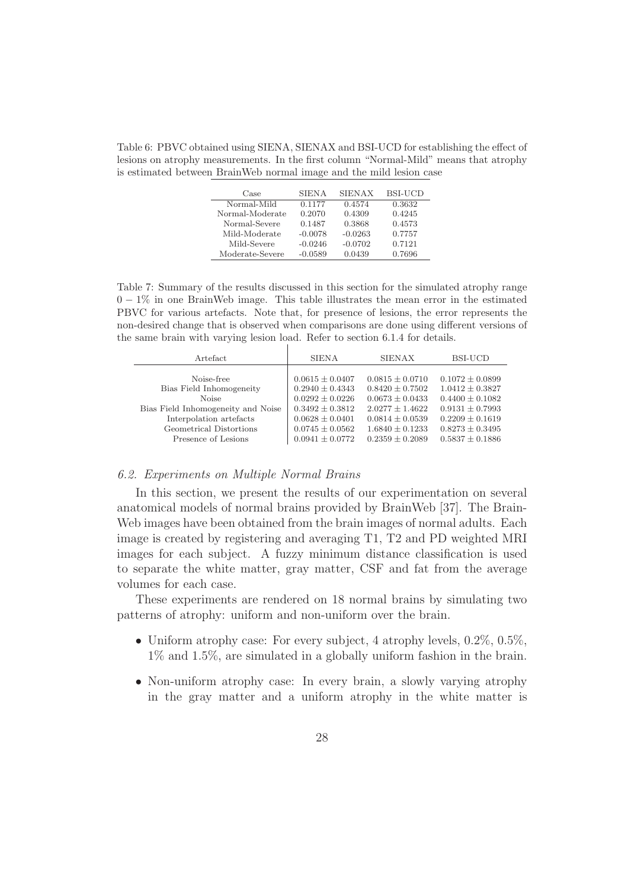Table 6: PBVC obtained using SIENA, SIENAX and BSI-UCD for establishing the effect of lesions on atrophy measurements. In the first column "Normal-Mild" means that atrophy is estimated between BrainWeb normal image and the mild lesion case

| Case            | <b>SIENA</b> | <b>SIENAX</b> | BSI-UCD |
|-----------------|--------------|---------------|---------|
| Normal-Mild     | 0.1177       | 0.4574        | 0.3632  |
| Normal-Moderate | 0.2070       | 0.4309        | 0.4245  |
| Normal-Severe   | 0.1487       | 0.3868        | 0.4573  |
| Mild-Moderate   | $-0.0078$    | $-0.0263$     | 0.7757  |
| Mild-Severe     | $-0.0246$    | $-0.0702$     | 0.7121  |
| Moderate-Severe | $-0.0589$    | 0.0439        | 0.7696  |

Table 7: Summary of the results discussed in this section for the simulated atrophy range  $0-1\%$  in one BrainWeb image. This table illustrates the mean error in the estimated PBVC for various artefacts. Note that, for presence of lesions, the error represents the non-desired change that is observed when comparisons are done using different versions of the same brain with varying lesion load. Refer to section 6.1.4 for details.

 $\perp$ 

| Artefact                           | <b>SIENA</b>        | <b>SIENAX</b>       | BSI-UCD             |
|------------------------------------|---------------------|---------------------|---------------------|
| Noise-free                         | $0.0615 \pm 0.0407$ | $0.0815 \pm 0.0710$ | $0.1072 \pm 0.0899$ |
| Bias Field Inhomogeneity           | $0.2940 \pm 0.4343$ | $0.8420 \pm 0.7502$ | $1.0412 \pm 0.3827$ |
| <b>Noise</b>                       | $0.0292 \pm 0.0226$ | $0.0673 \pm 0.0433$ | $0.4400 \pm 0.1082$ |
| Bias Field Inhomogeneity and Noise | $0.3492 \pm 0.3812$ | $2.0277 + 1.4622$   | $0.9131 \pm 0.7993$ |
| Interpolation artefacts            | $0.0628 \pm 0.0401$ | $0.0814 \pm 0.0539$ | $0.2209 \pm 0.1619$ |
| Geometrical Distortions            | $0.0745 \pm 0.0562$ | $1.6840 \pm 0.1233$ | $0.8273 \pm 0.3495$ |
| Presence of Lesions                | $0.0941 \pm 0.0772$ | $0.2359 \pm 0.2089$ | $0.5837 \pm 0.1886$ |

#### 6.2. Experiments on Multiple Normal Brains

In this section, we present the results of our experimentation on several anatomical models of normal brains provided by BrainWeb [37]. The Brain-Web images have been obtained from the brain images of normal adults. Each image is created by registering and averaging T1, T2 and PD weighted MRI images for each subject. A fuzzy minimum distance classification is used to separate the white matter, gray matter, CSF and fat from the average volumes for each case.

These experiments are rendered on 18 normal brains by simulating two patterns of atrophy: uniform and non-uniform over the brain.

- Uniform atrophy case: For every subject, 4 atrophy levels,  $0.2\%$ ,  $0.5\%$ , 1% and 1.5%, are simulated in a globally uniform fashion in the brain.
- Non-uniform atrophy case: In every brain, a slowly varying atrophy in the gray matter and a uniform atrophy in the white matter is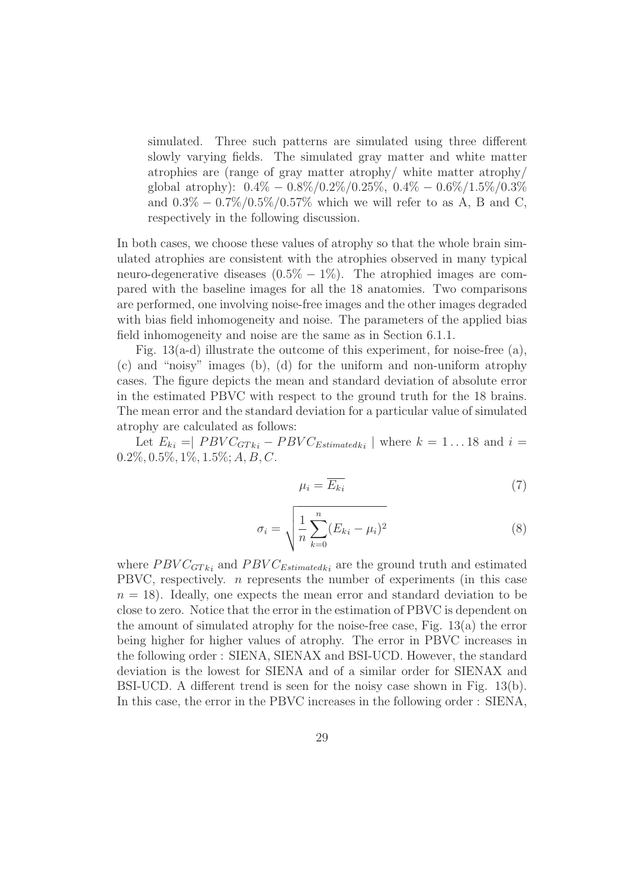simulated. Three such patterns are simulated using three different slowly varying fields. The simulated gray matter and white matter atrophies are (range of gray matter atrophy/ white matter atrophy/ global atrophy):  $0.4\% - 0.8\%/0.2\%/0.25\%$ ,  $0.4\% - 0.6\%/1.5\%/0.3\%$ and  $0.3\% - 0.7\%/0.5\%/0.57\%$  which we will refer to as A, B and C, respectively in the following discussion.

In both cases, we choose these values of atrophy so that the whole brain simulated atrophies are consistent with the atrophies observed in many typical neuro-degenerative diseases  $(0.5\% - 1\%)$ . The atrophied images are compared with the baseline images for all the 18 anatomies. Two comparisons are performed, one involving noise-free images and the other images degraded with bias field inhomogeneity and noise. The parameters of the applied bias field inhomogeneity and noise are the same as in Section 6.1.1.

Fig. 13(a-d) illustrate the outcome of this experiment, for noise-free (a), (c) and "noisy" images (b), (d) for the uniform and non-uniform atrophy cases. The figure depicts the mean and standard deviation of absolute error in the estimated PBVC with respect to the ground truth for the 18 brains. The mean error and the standard deviation for a particular value of simulated atrophy are calculated as follows:

Let  $E_{ki} = |$   $PBVC_{GTki} - PBVC_{Estimatedki} |$  where  $k = 1...18$  and  $i =$  $0.2\%, 0.5\%, 1\%, 1.5\%; A, B, C.$ 

$$
\mu_i = \overline{E_{ki}} \tag{7}
$$

$$
\sigma_i = \sqrt{\frac{1}{n} \sum_{k=0}^{n} (E_{ki} - \mu_i)^2}
$$
 (8)

where  $PBVC<sub>GTki</sub>$  and  $PBVC<sub>Estimatedki</sub>$  are the ground truth and estimated PBVC, respectively.  $n$  represents the number of experiments (in this case  $n = 18$ ). Ideally, one expects the mean error and standard deviation to be close to zero. Notice that the error in the estimation of PBVC is dependent on the amount of simulated atrophy for the noise-free case, Fig. 13(a) the error being higher for higher values of atrophy. The error in PBVC increases in the following order : SIENA, SIENAX and BSI-UCD. However, the standard deviation is the lowest for SIENA and of a similar order for SIENAX and BSI-UCD. A different trend is seen for the noisy case shown in Fig. 13(b). In this case, the error in the PBVC increases in the following order : SIENA,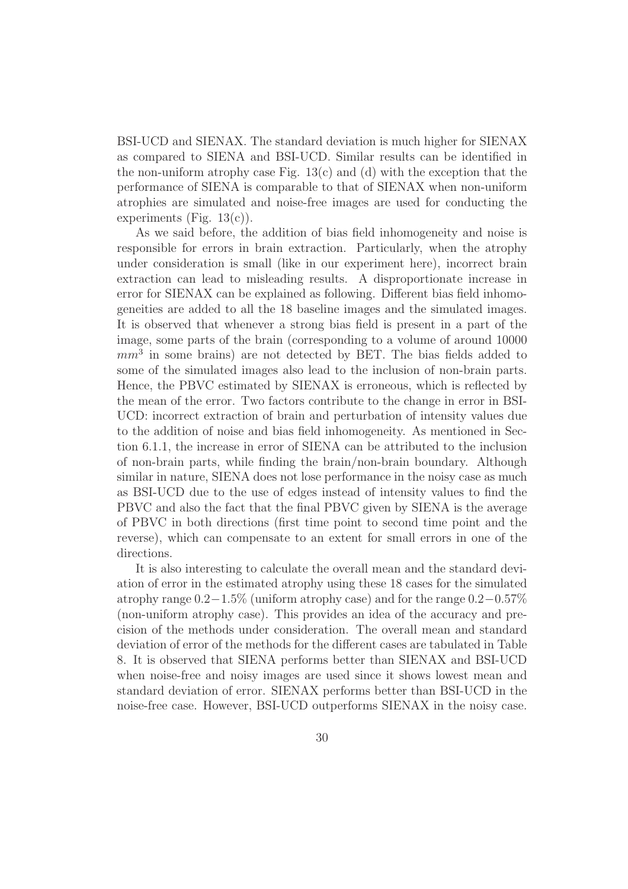BSI-UCD and SIENAX. The standard deviation is much higher for SIENAX as compared to SIENA and BSI-UCD. Similar results can be identified in the non-uniform atrophy case Fig.  $13(c)$  and (d) with the exception that the performance of SIENA is comparable to that of SIENAX when non-uniform atrophies are simulated and noise-free images are used for conducting the experiments (Fig.  $13(c)$ ).

As we said before, the addition of bias field inhomogeneity and noise is responsible for errors in brain extraction. Particularly, when the atrophy under consideration is small (like in our experiment here), incorrect brain extraction can lead to misleading results. A disproportionate increase in error for SIENAX can be explained as following. Different bias field inhomogeneities are added to all the 18 baseline images and the simulated images. It is observed that whenever a strong bias field is present in a part of the image, some parts of the brain (corresponding to a volume of around 10000  $mm<sup>3</sup>$  in some brains) are not detected by BET. The bias fields added to some of the simulated images also lead to the inclusion of non-brain parts. Hence, the PBVC estimated by SIENAX is erroneous, which is reflected by the mean of the error. Two factors contribute to the change in error in BSI-UCD: incorrect extraction of brain and perturbation of intensity values due to the addition of noise and bias field inhomogeneity. As mentioned in Section 6.1.1, the increase in error of SIENA can be attributed to the inclusion of non-brain parts, while finding the brain/non-brain boundary. Although similar in nature, SIENA does not lose performance in the noisy case as much as BSI-UCD due to the use of edges instead of intensity values to find the PBVC and also the fact that the final PBVC given by SIENA is the average of PBVC in both directions (first time point to second time point and the reverse), which can compensate to an extent for small errors in one of the directions.

It is also interesting to calculate the overall mean and the standard deviation of error in the estimated atrophy using these 18 cases for the simulated atrophy range 0.2−1.5% (uniform atrophy case) and for the range 0.2−0.57% (non-uniform atrophy case). This provides an idea of the accuracy and precision of the methods under consideration. The overall mean and standard deviation of error of the methods for the different cases are tabulated in Table 8. It is observed that SIENA performs better than SIENAX and BSI-UCD when noise-free and noisy images are used since it shows lowest mean and standard deviation of error. SIENAX performs better than BSI-UCD in the noise-free case. However, BSI-UCD outperforms SIENAX in the noisy case.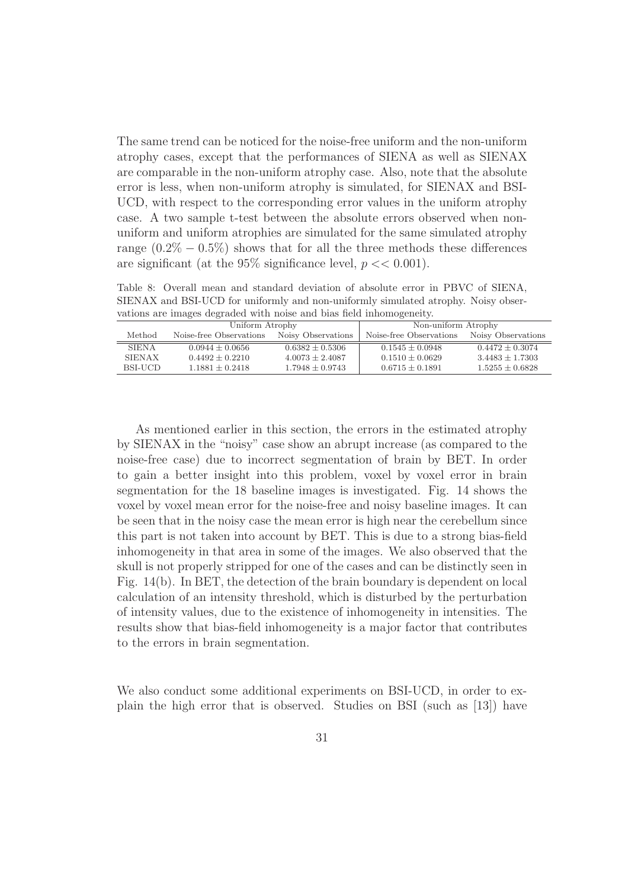The same trend can be noticed for the noise-free uniform and the non-uniform atrophy cases, except that the performances of SIENA as well as SIENAX are comparable in the non-uniform atrophy case. Also, note that the absolute error is less, when non-uniform atrophy is simulated, for SIENAX and BSI-UCD, with respect to the corresponding error values in the uniform atrophy case. A two sample t-test between the absolute errors observed when nonuniform and uniform atrophies are simulated for the same simulated atrophy range  $(0.2\% - 0.5\%)$  shows that for all the three methods these differences are significant (at the  $95\%$  significance level,  $p \ll 0.001$ ).

Table 8: Overall mean and standard deviation of absolute error in PBVC of SIENA, SIENAX and BSI-UCD for uniformly and non-uniformly simulated atrophy. Noisy observations are images degraded with noise and bias field inhomogeneity.

| Uniform Atrophy |                         |                    | Non-uniform Atrophy     |                    |  |
|-----------------|-------------------------|--------------------|-------------------------|--------------------|--|
| Method          | Noise-free Observations | Noisy Observations | Noise-free Observations | Noisy Observations |  |
| <b>SIENA</b>    | $0.0944 + 0.0656$       | $0.6382 + 0.5306$  | $0.1545 + 0.0948$       | $0.4472 + 0.3074$  |  |
| <b>SIENAX</b>   | $0.4492 \pm 0.2210$     | $4.0073 + 2.4087$  | $0.1510 + 0.0629$       | $3.4483 + 1.7303$  |  |
| BSLUCD.         | $1.1881 + 0.2418$       | $1.7948 + 0.9743$  | $0.6715 \pm 0.1891$     | $1.5255 + 0.6828$  |  |

As mentioned earlier in this section, the errors in the estimated atrophy by SIENAX in the "noisy" case show an abrupt increase (as compared to the noise-free case) due to incorrect segmentation of brain by BET. In order to gain a better insight into this problem, voxel by voxel error in brain segmentation for the 18 baseline images is investigated. Fig. 14 shows the voxel by voxel mean error for the noise-free and noisy baseline images. It can be seen that in the noisy case the mean error is high near the cerebellum since this part is not taken into account by BET. This is due to a strong bias-field inhomogeneity in that area in some of the images. We also observed that the skull is not properly stripped for one of the cases and can be distinctly seen in Fig. 14(b). In BET, the detection of the brain boundary is dependent on local calculation of an intensity threshold, which is disturbed by the perturbation of intensity values, due to the existence of inhomogeneity in intensities. The results show that bias-field inhomogeneity is a major factor that contributes to the errors in brain segmentation.

We also conduct some additional experiments on BSI-UCD, in order to explain the high error that is observed. Studies on BSI (such as [13]) have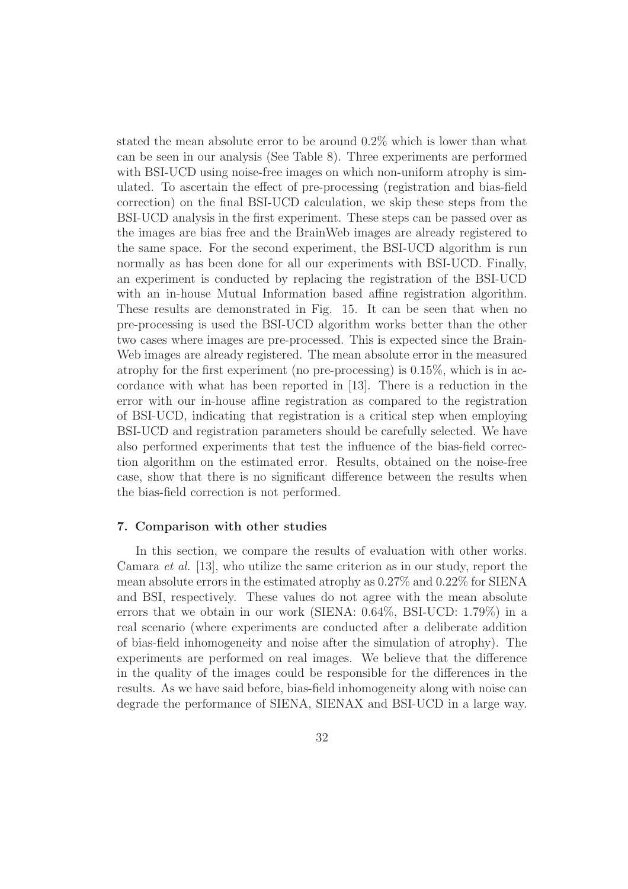stated the mean absolute error to be around 0.2% which is lower than what can be seen in our analysis (See Table 8). Three experiments are performed with BSI-UCD using noise-free images on which non-uniform atrophy is simulated. To ascertain the effect of pre-processing (registration and bias-field correction) on the final BSI-UCD calculation, we skip these steps from the BSI-UCD analysis in the first experiment. These steps can be passed over as the images are bias free and the BrainWeb images are already registered to the same space. For the second experiment, the BSI-UCD algorithm is run normally as has been done for all our experiments with BSI-UCD. Finally, an experiment is conducted by replacing the registration of the BSI-UCD with an in-house Mutual Information based affine registration algorithm. These results are demonstrated in Fig. 15. It can be seen that when no pre-processing is used the BSI-UCD algorithm works better than the other two cases where images are pre-processed. This is expected since the Brain-Web images are already registered. The mean absolute error in the measured atrophy for the first experiment (no pre-processing) is 0.15%, which is in accordance with what has been reported in [13]. There is a reduction in the error with our in-house affine registration as compared to the registration of BSI-UCD, indicating that registration is a critical step when employing BSI-UCD and registration parameters should be carefully selected. We have also performed experiments that test the influence of the bias-field correction algorithm on the estimated error. Results, obtained on the noise-free case, show that there is no significant difference between the results when the bias-field correction is not performed.

# 7. Comparison with other studies

In this section, we compare the results of evaluation with other works. Camara et al. [13], who utilize the same criterion as in our study, report the mean absolute errors in the estimated atrophy as 0.27% and 0.22% for SIENA and BSI, respectively. These values do not agree with the mean absolute errors that we obtain in our work (SIENA: 0.64%, BSI-UCD: 1.79%) in a real scenario (where experiments are conducted after a deliberate addition of bias-field inhomogeneity and noise after the simulation of atrophy). The experiments are performed on real images. We believe that the difference in the quality of the images could be responsible for the differences in the results. As we have said before, bias-field inhomogeneity along with noise can degrade the performance of SIENA, SIENAX and BSI-UCD in a large way.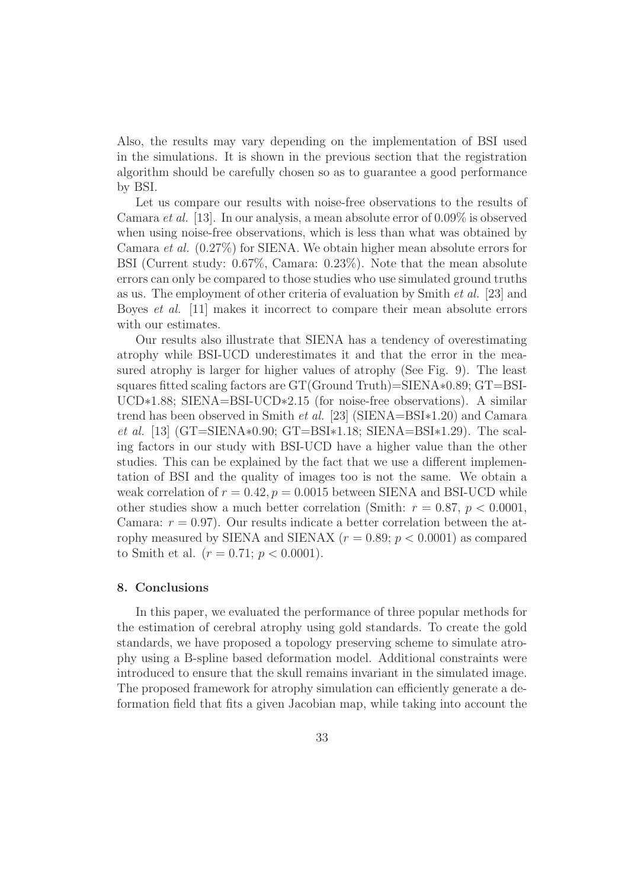Also, the results may vary depending on the implementation of BSI used in the simulations. It is shown in the previous section that the registration algorithm should be carefully chosen so as to guarantee a good performance by BSI.

Let us compare our results with noise-free observations to the results of Camara *et al.* [13]. In our analysis, a mean absolute error of  $0.09\%$  is observed when using noise-free observations, which is less than what was obtained by Camara et al. (0.27%) for SIENA. We obtain higher mean absolute errors for BSI (Current study: 0.67%, Camara: 0.23%). Note that the mean absolute errors can only be compared to those studies who use simulated ground truths as us. The employment of other criteria of evaluation by Smith et al. [23] and Boyes et al. [11] makes it incorrect to compare their mean absolute errors with our estimates.

Our results also illustrate that SIENA has a tendency of overestimating atrophy while BSI-UCD underestimates it and that the error in the measured atrophy is larger for higher values of atrophy (See Fig. 9). The least squares fitted scaling factors are GT(Ground Truth)=SIENA∗0.89; GT=BSI-UCD∗1.88; SIENA=BSI-UCD∗2.15 (for noise-free observations). A similar trend has been observed in Smith et al. [23] (SIENA=BSI∗1.20) and Camara et al. [13] (GT=SIENA∗0.90; GT=BSI∗1.18; SIENA=BSI∗1.29). The scaling factors in our study with BSI-UCD have a higher value than the other studies. This can be explained by the fact that we use a different implementation of BSI and the quality of images too is not the same. We obtain a weak correlation of  $r = 0.42$ ,  $p = 0.0015$  between SIENA and BSI-UCD while other studies show a much better correlation (Smith:  $r = 0.87, p < 0.0001$ , Camara:  $r = 0.97$ ). Our results indicate a better correlation between the atrophy measured by SIENA and SIENAX ( $r = 0.89$ ;  $p < 0.0001$ ) as compared to Smith et al.  $(r = 0.71; p < 0.0001)$ .

# 8. Conclusions

In this paper, we evaluated the performance of three popular methods for the estimation of cerebral atrophy using gold standards. To create the gold standards, we have proposed a topology preserving scheme to simulate atrophy using a B-spline based deformation model. Additional constraints were introduced to ensure that the skull remains invariant in the simulated image. The proposed framework for atrophy simulation can efficiently generate a deformation field that fits a given Jacobian map, while taking into account the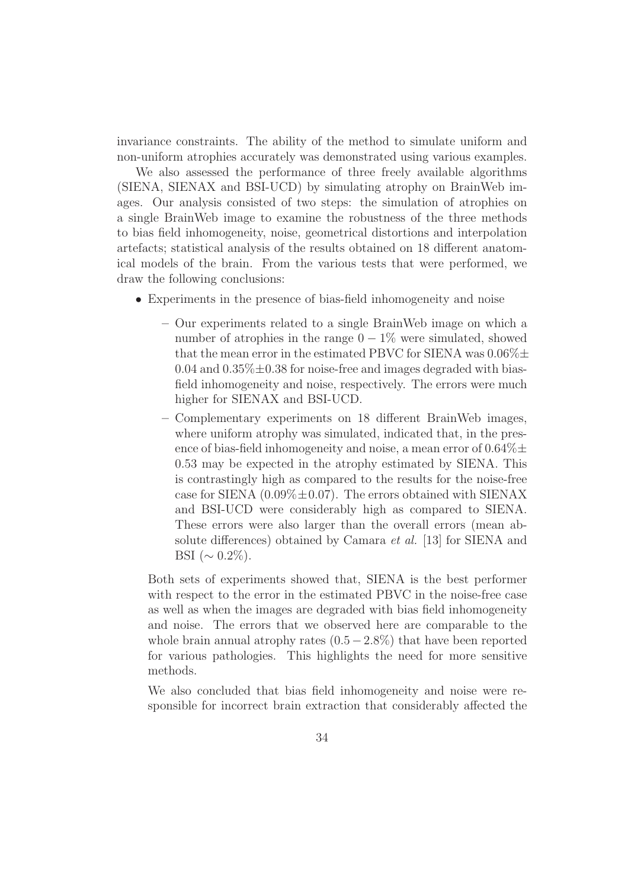invariance constraints. The ability of the method to simulate uniform and non-uniform atrophies accurately was demonstrated using various examples.

We also assessed the performance of three freely available algorithms (SIENA, SIENAX and BSI-UCD) by simulating atrophy on BrainWeb images. Our analysis consisted of two steps: the simulation of atrophies on a single BrainWeb image to examine the robustness of the three methods to bias field inhomogeneity, noise, geometrical distortions and interpolation artefacts; statistical analysis of the results obtained on 18 different anatomical models of the brain. From the various tests that were performed, we draw the following conclusions:

- Experiments in the presence of bias-field inhomogeneity and noise
	- Our experiments related to a single BrainWeb image on which a number of atrophies in the range  $0-1\%$  were simulated, showed that the mean error in the estimated PBVC for SIENA was  $0.06\% \pm$ 0.04 and  $0.35\% \pm 0.38$  for noise-free and images degraded with biasfield inhomogeneity and noise, respectively. The errors were much higher for SIENAX and BSI-UCD.
	- Complementary experiments on 18 different BrainWeb images, where uniform atrophy was simulated, indicated that, in the presence of bias-field inhomogeneity and noise, a mean error of  $0.64\% \pm$ 0.53 may be expected in the atrophy estimated by SIENA. This is contrastingly high as compared to the results for the noise-free case for SIENA  $(0.09\% \pm 0.07)$ . The errors obtained with SIENAX and BSI-UCD were considerably high as compared to SIENA. These errors were also larger than the overall errors (mean absolute differences) obtained by Camara et al. [13] for SIENA and BSI ( $\sim 0.2\%$ ).

Both sets of experiments showed that, SIENA is the best performer with respect to the error in the estimated PBVC in the noise-free case as well as when the images are degraded with bias field inhomogeneity and noise. The errors that we observed here are comparable to the whole brain annual atrophy rates  $(0.5-2.8\%)$  that have been reported for various pathologies. This highlights the need for more sensitive methods.

We also concluded that bias field inhomogeneity and noise were responsible for incorrect brain extraction that considerably affected the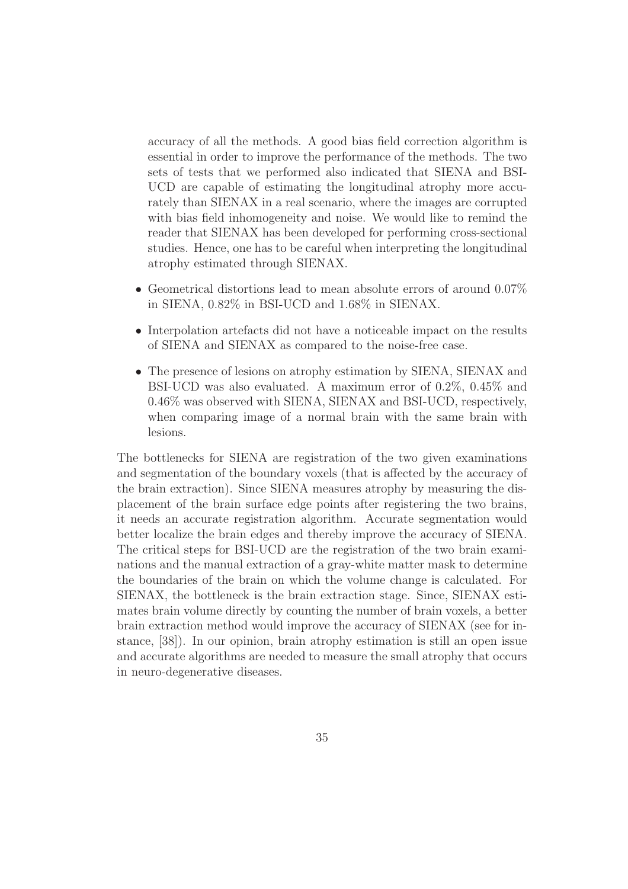accuracy of all the methods. A good bias field correction algorithm is essential in order to improve the performance of the methods. The two sets of tests that we performed also indicated that SIENA and BSI-UCD are capable of estimating the longitudinal atrophy more accurately than SIENAX in a real scenario, where the images are corrupted with bias field inhomogeneity and noise. We would like to remind the reader that SIENAX has been developed for performing cross-sectional studies. Hence, one has to be careful when interpreting the longitudinal atrophy estimated through SIENAX.

- Geometrical distortions lead to mean absolute errors of around 0.07% in SIENA, 0.82% in BSI-UCD and 1.68% in SIENAX.
- Interpolation artefacts did not have a noticeable impact on the results of SIENA and SIENAX as compared to the noise-free case.
- The presence of lesions on atrophy estimation by SIENA, SIENAX and BSI-UCD was also evaluated. A maximum error of 0.2%, 0.45% and 0.46% was observed with SIENA, SIENAX and BSI-UCD, respectively, when comparing image of a normal brain with the same brain with lesions.

The bottlenecks for SIENA are registration of the two given examinations and segmentation of the boundary voxels (that is affected by the accuracy of the brain extraction). Since SIENA measures atrophy by measuring the displacement of the brain surface edge points after registering the two brains, it needs an accurate registration algorithm. Accurate segmentation would better localize the brain edges and thereby improve the accuracy of SIENA. The critical steps for BSI-UCD are the registration of the two brain examinations and the manual extraction of a gray-white matter mask to determine the boundaries of the brain on which the volume change is calculated. For SIENAX, the bottleneck is the brain extraction stage. Since, SIENAX estimates brain volume directly by counting the number of brain voxels, a better brain extraction method would improve the accuracy of SIENAX (see for instance, [38]). In our opinion, brain atrophy estimation is still an open issue and accurate algorithms are needed to measure the small atrophy that occurs in neuro-degenerative diseases.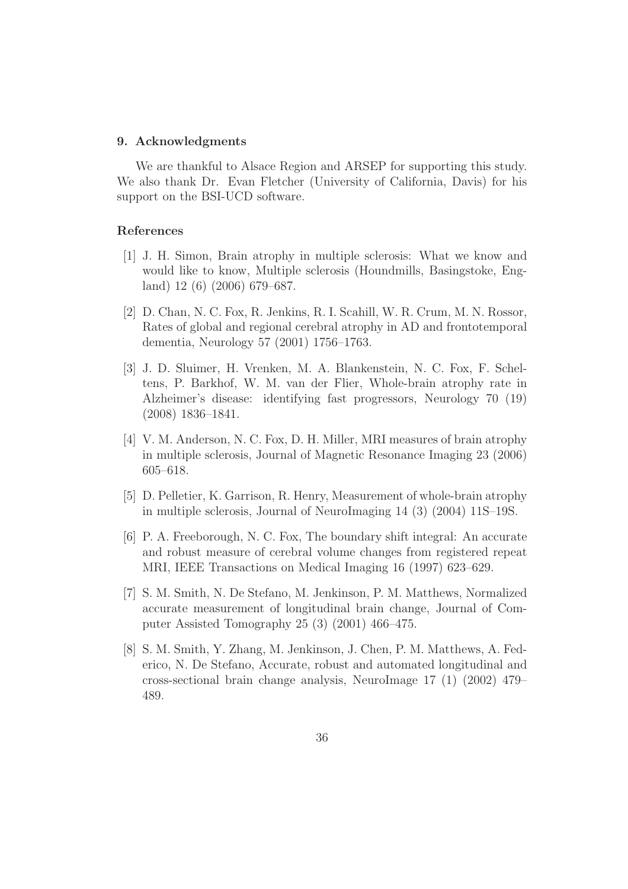#### 9. Acknowledgments

We are thankful to Alsace Region and ARSEP for supporting this study. We also thank Dr. Evan Fletcher (University of California, Davis) for his support on the BSI-UCD software.

#### References

- [1] J. H. Simon, Brain atrophy in multiple sclerosis: What we know and would like to know, Multiple sclerosis (Houndmills, Basingstoke, England) 12 (6) (2006) 679–687.
- [2] D. Chan, N. C. Fox, R. Jenkins, R. I. Scahill, W. R. Crum, M. N. Rossor, Rates of global and regional cerebral atrophy in AD and frontotemporal dementia, Neurology 57 (2001) 1756–1763.
- [3] J. D. Sluimer, H. Vrenken, M. A. Blankenstein, N. C. Fox, F. Scheltens, P. Barkhof, W. M. van der Flier, Whole-brain atrophy rate in Alzheimer's disease: identifying fast progressors, Neurology 70 (19) (2008) 1836–1841.
- [4] V. M. Anderson, N. C. Fox, D. H. Miller, MRI measures of brain atrophy in multiple sclerosis, Journal of Magnetic Resonance Imaging 23 (2006) 605–618.
- [5] D. Pelletier, K. Garrison, R. Henry, Measurement of whole-brain atrophy in multiple sclerosis, Journal of NeuroImaging 14 (3) (2004) 11S–19S.
- [6] P. A. Freeborough, N. C. Fox, The boundary shift integral: An accurate and robust measure of cerebral volume changes from registered repeat MRI, IEEE Transactions on Medical Imaging 16 (1997) 623–629.
- [7] S. M. Smith, N. De Stefano, M. Jenkinson, P. M. Matthews, Normalized accurate measurement of longitudinal brain change, Journal of Computer Assisted Tomography 25 (3) (2001) 466–475.
- [8] S. M. Smith, Y. Zhang, M. Jenkinson, J. Chen, P. M. Matthews, A. Federico, N. De Stefano, Accurate, robust and automated longitudinal and cross-sectional brain change analysis, NeuroImage 17 (1) (2002) 479– 489.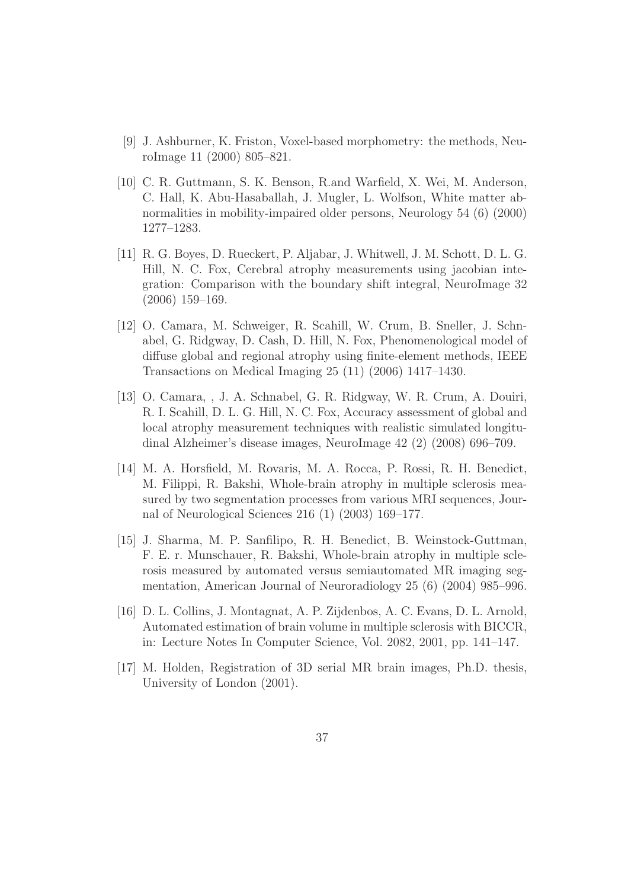- [9] J. Ashburner, K. Friston, Voxel-based morphometry: the methods, NeuroImage 11 (2000) 805–821.
- [10] C. R. Guttmann, S. K. Benson, R.and Warfield, X. Wei, M. Anderson, C. Hall, K. Abu-Hasaballah, J. Mugler, L. Wolfson, White matter abnormalities in mobility-impaired older persons, Neurology 54 (6) (2000) 1277–1283.
- [11] R. G. Boyes, D. Rueckert, P. Aljabar, J. Whitwell, J. M. Schott, D. L. G. Hill, N. C. Fox, Cerebral atrophy measurements using jacobian integration: Comparison with the boundary shift integral, NeuroImage 32 (2006) 159–169.
- [12] O. Camara, M. Schweiger, R. Scahill, W. Crum, B. Sneller, J. Schnabel, G. Ridgway, D. Cash, D. Hill, N. Fox, Phenomenological model of diffuse global and regional atrophy using finite-element methods, IEEE Transactions on Medical Imaging 25 (11) (2006) 1417–1430.
- [13] O. Camara, , J. A. Schnabel, G. R. Ridgway, W. R. Crum, A. Douiri, R. I. Scahill, D. L. G. Hill, N. C. Fox, Accuracy assessment of global and local atrophy measurement techniques with realistic simulated longitudinal Alzheimer's disease images, NeuroImage 42 (2) (2008) 696–709.
- [14] M. A. Horsfield, M. Rovaris, M. A. Rocca, P. Rossi, R. H. Benedict, M. Filippi, R. Bakshi, Whole-brain atrophy in multiple sclerosis measured by two segmentation processes from various MRI sequences, Journal of Neurological Sciences 216 (1) (2003) 169–177.
- [15] J. Sharma, M. P. Sanfilipo, R. H. Benedict, B. Weinstock-Guttman, F. E. r. Munschauer, R. Bakshi, Whole-brain atrophy in multiple sclerosis measured by automated versus semiautomated MR imaging segmentation, American Journal of Neuroradiology 25 (6) (2004) 985–996.
- [16] D. L. Collins, J. Montagnat, A. P. Zijdenbos, A. C. Evans, D. L. Arnold, Automated estimation of brain volume in multiple sclerosis with BICCR, in: Lecture Notes In Computer Science, Vol. 2082, 2001, pp. 141–147.
- [17] M. Holden, Registration of 3D serial MR brain images, Ph.D. thesis, University of London (2001).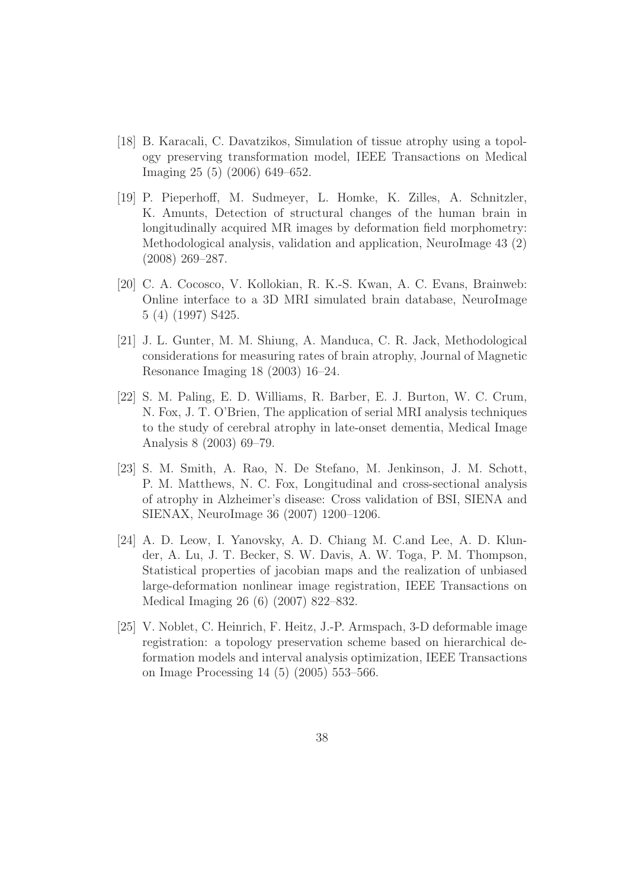- [18] B. Karacali, C. Davatzikos, Simulation of tissue atrophy using a topology preserving transformation model, IEEE Transactions on Medical Imaging 25 (5) (2006) 649–652.
- [19] P. Pieperhoff, M. Sudmeyer, L. Homke, K. Zilles, A. Schnitzler, K. Amunts, Detection of structural changes of the human brain in longitudinally acquired MR images by deformation field morphometry: Methodological analysis, validation and application, NeuroImage 43 (2) (2008) 269–287.
- [20] C. A. Cocosco, V. Kollokian, R. K.-S. Kwan, A. C. Evans, Brainweb: Online interface to a 3D MRI simulated brain database, NeuroImage 5 (4) (1997) S425.
- [21] J. L. Gunter, M. M. Shiung, A. Manduca, C. R. Jack, Methodological considerations for measuring rates of brain atrophy, Journal of Magnetic Resonance Imaging 18 (2003) 16–24.
- [22] S. M. Paling, E. D. Williams, R. Barber, E. J. Burton, W. C. Crum, N. Fox, J. T. O'Brien, The application of serial MRI analysis techniques to the study of cerebral atrophy in late-onset dementia, Medical Image Analysis 8 (2003) 69–79.
- [23] S. M. Smith, A. Rao, N. De Stefano, M. Jenkinson, J. M. Schott, P. M. Matthews, N. C. Fox, Longitudinal and cross-sectional analysis of atrophy in Alzheimer's disease: Cross validation of BSI, SIENA and SIENAX, NeuroImage 36 (2007) 1200–1206.
- [24] A. D. Leow, I. Yanovsky, A. D. Chiang M. C.and Lee, A. D. Klunder, A. Lu, J. T. Becker, S. W. Davis, A. W. Toga, P. M. Thompson, Statistical properties of jacobian maps and the realization of unbiased large-deformation nonlinear image registration, IEEE Transactions on Medical Imaging 26 (6) (2007) 822–832.
- [25] V. Noblet, C. Heinrich, F. Heitz, J.-P. Armspach, 3-D deformable image registration: a topology preservation scheme based on hierarchical deformation models and interval analysis optimization, IEEE Transactions on Image Processing 14 (5) (2005) 553–566.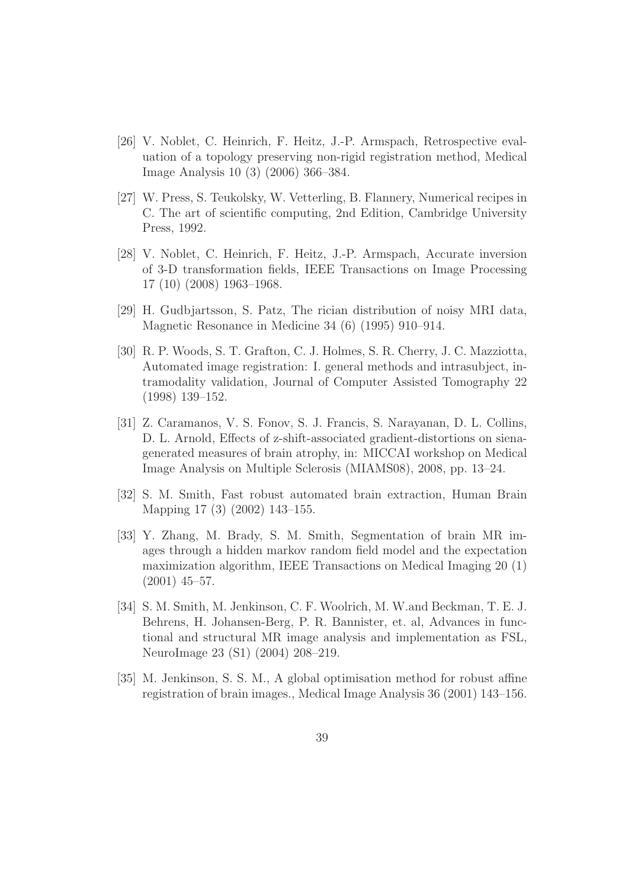- [26] V. Noblet, C. Heinrich, F. Heitz, J.-P. Armspach, Retrospective evaluation of a topology preserving non-rigid registration method, Medical Image Analysis 10 (3) (2006) 366–384.
- [27] W. Press, S. Teukolsky, W. Vetterling, B. Flannery, Numerical recipes in C. The art of scientific computing, 2nd Edition, Cambridge University Press, 1992.
- [28] V. Noblet, C. Heinrich, F. Heitz, J.-P. Armspach, Accurate inversion of 3-D transformation fields, IEEE Transactions on Image Processing 17 (10) (2008) 1963–1968.
- [29] H. Gudbjartsson, S. Patz, The rician distribution of noisy MRI data, Magnetic Resonance in Medicine 34 (6) (1995) 910–914.
- [30] R. P. Woods, S. T. Grafton, C. J. Holmes, S. R. Cherry, J. C. Mazziotta, Automated image registration: I. general methods and intrasubject, intramodality validation, Journal of Computer Assisted Tomography 22 (1998) 139–152.
- [31] Z. Caramanos, V. S. Fonov, S. J. Francis, S. Narayanan, D. L. Collins, D. L. Arnold, Effects of z-shift-associated gradient-distortions on sienagenerated measures of brain atrophy, in: MICCAI workshop on Medical Image Analysis on Multiple Sclerosis (MIAMS08), 2008, pp. 13–24.
- [32] S. M. Smith, Fast robust automated brain extraction, Human Brain Mapping 17 (3) (2002) 143–155.
- [33] Y. Zhang, M. Brady, S. M. Smith, Segmentation of brain MR images through a hidden markov random field model and the expectation maximization algorithm, IEEE Transactions on Medical Imaging 20 (1) (2001) 45–57.
- [34] S. M. Smith, M. Jenkinson, C. F. Woolrich, M. W.and Beckman, T. E. J. Behrens, H. Johansen-Berg, P. R. Bannister, et. al, Advances in functional and structural MR image analysis and implementation as FSL, NeuroImage 23 (S1) (2004) 208–219.
- [35] M. Jenkinson, S. S. M., A global optimisation method for robust affine registration of brain images., Medical Image Analysis 36 (2001) 143–156.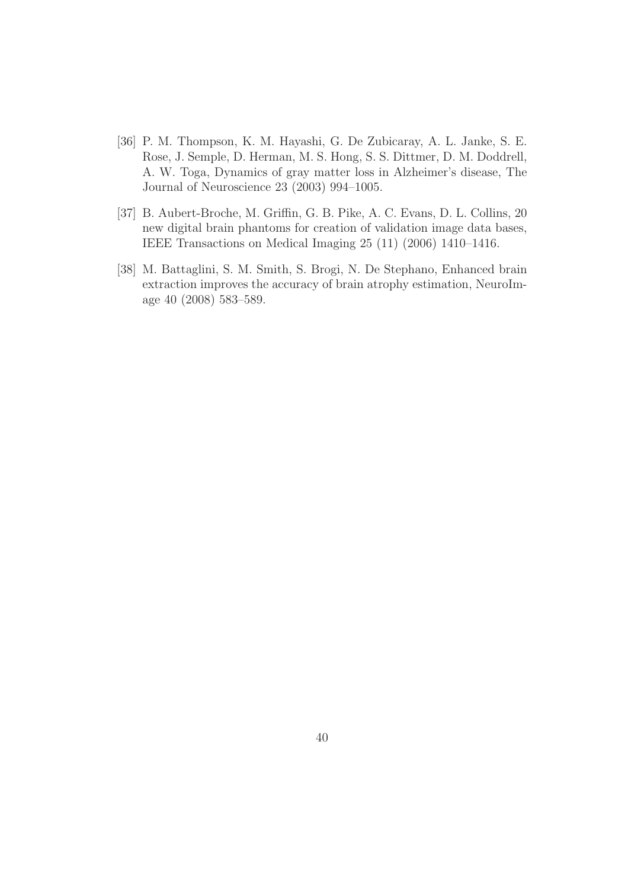- [36] P. M. Thompson, K. M. Hayashi, G. De Zubicaray, A. L. Janke, S. E. Rose, J. Semple, D. Herman, M. S. Hong, S. S. Dittmer, D. M. Doddrell, A. W. Toga, Dynamics of gray matter loss in Alzheimer's disease, The Journal of Neuroscience 23 (2003) 994–1005.
- [37] B. Aubert-Broche, M. Griffin, G. B. Pike, A. C. Evans, D. L. Collins, 20 new digital brain phantoms for creation of validation image data bases, IEEE Transactions on Medical Imaging 25 (11) (2006) 1410–1416.
- [38] M. Battaglini, S. M. Smith, S. Brogi, N. De Stephano, Enhanced brain extraction improves the accuracy of brain atrophy estimation, NeuroImage 40 (2008) 583–589.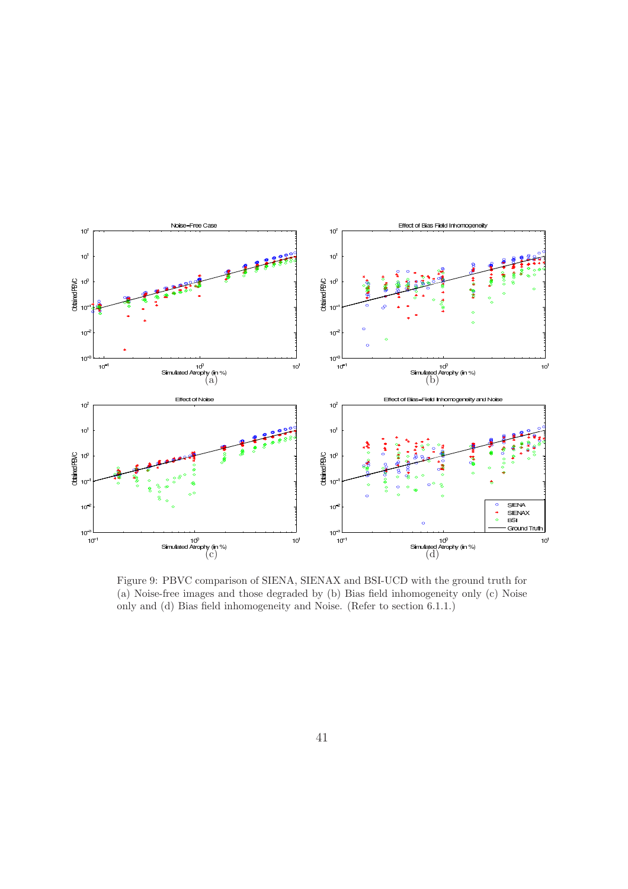![](_page_41_Figure_0.jpeg)

Figure 9: PBVC comparison of SIENA, SIENAX and BSI-UCD with the ground truth for (a) Noise-free images and those degraded by (b) Bias field inhomogeneity only (c) Noise only and (d) Bias field inhomogeneity and Noise. (Refer to section 6.1.1.)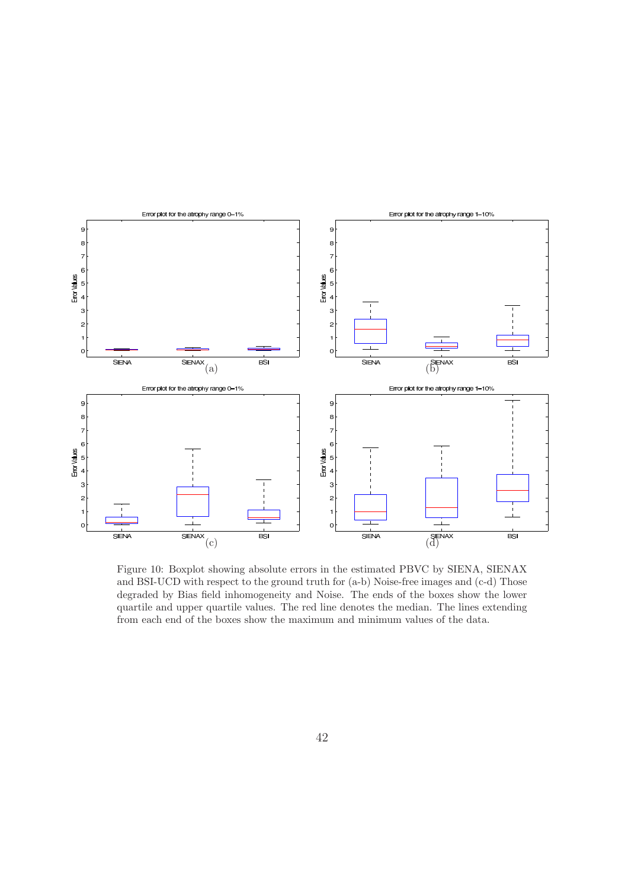![](_page_42_Figure_0.jpeg)

Figure 10: Boxplot showing absolute errors in the estimated PBVC by SIENA, SIENAX and BSI-UCD with respect to the ground truth for (a-b) Noise-free images and (c-d) Those degraded by Bias field inhomogeneity and Noise. The ends of the boxes show the lower quartile and upper quartile values. The red line denotes the median. The lines extending from each end of the boxes show the maximum and minimum values of the data.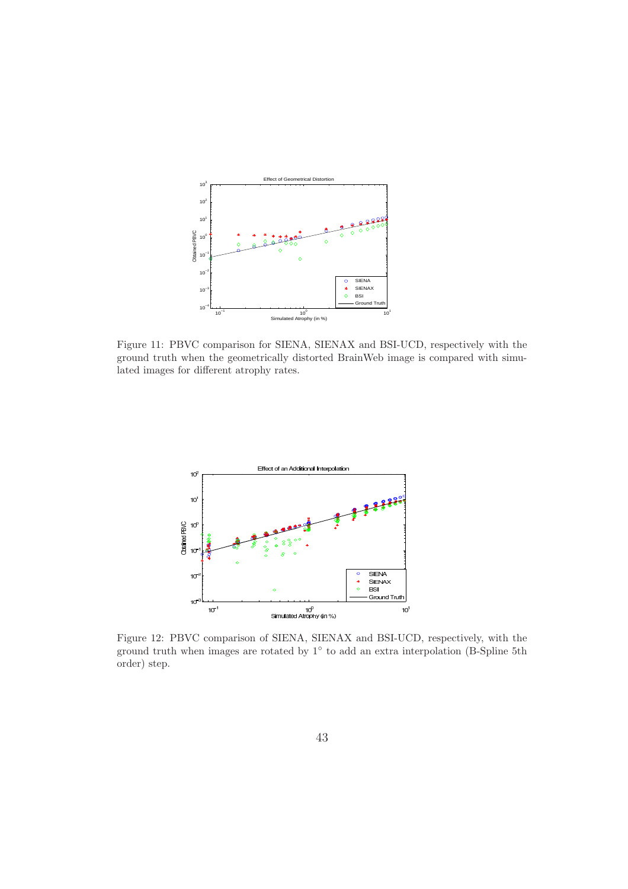![](_page_43_Figure_0.jpeg)

Figure 11: PBVC comparison for SIENA, SIENAX and BSI-UCD, respectively with the ground truth when the geometrically distorted BrainWeb image is compared with simulated images for different atrophy rates.

![](_page_43_Figure_2.jpeg)

Figure 12: PBVC comparison of SIENA, SIENAX and BSI-UCD, respectively, with the ground truth when images are rotated by 1◦ to add an extra interpolation (B-Spline 5th order) step.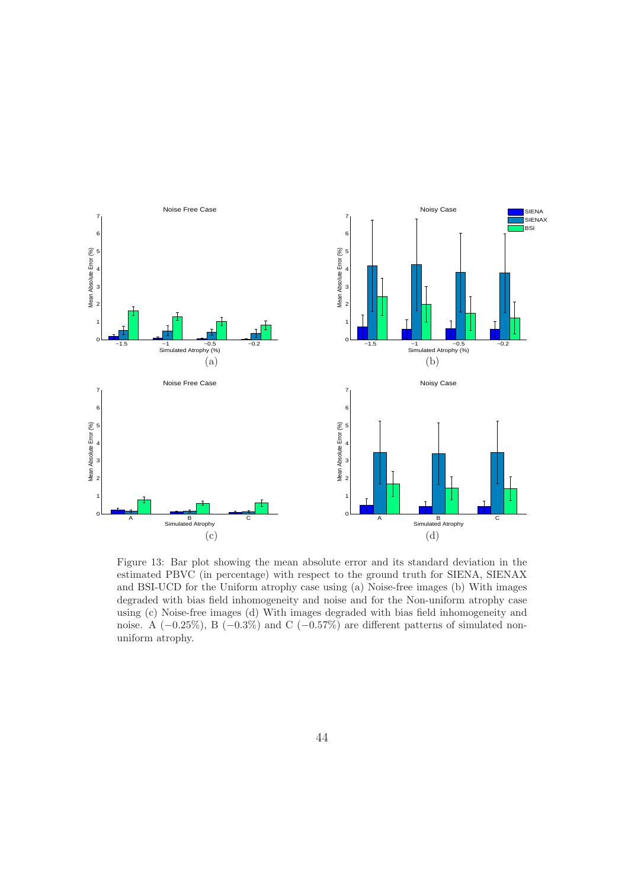![](_page_44_Figure_0.jpeg)

Figure 13: Bar plot showing the mean absolute error and its standard deviation in the estimated PBVC (in percentage) with respect to the ground truth for SIENA, SIENAX and BSI-UCD for the Uniform atrophy case using (a) Noise-free images (b) With images degraded with bias field inhomogeneity and noise and for the Non-uniform atrophy case using (c) Noise-free images (d) With images degraded with bias field inhomogeneity and noise. A  $(-0.25\%)$ , B  $(-0.3\%)$  and C  $(-0.57\%)$  are different patterns of simulated nonuniform atrophy.